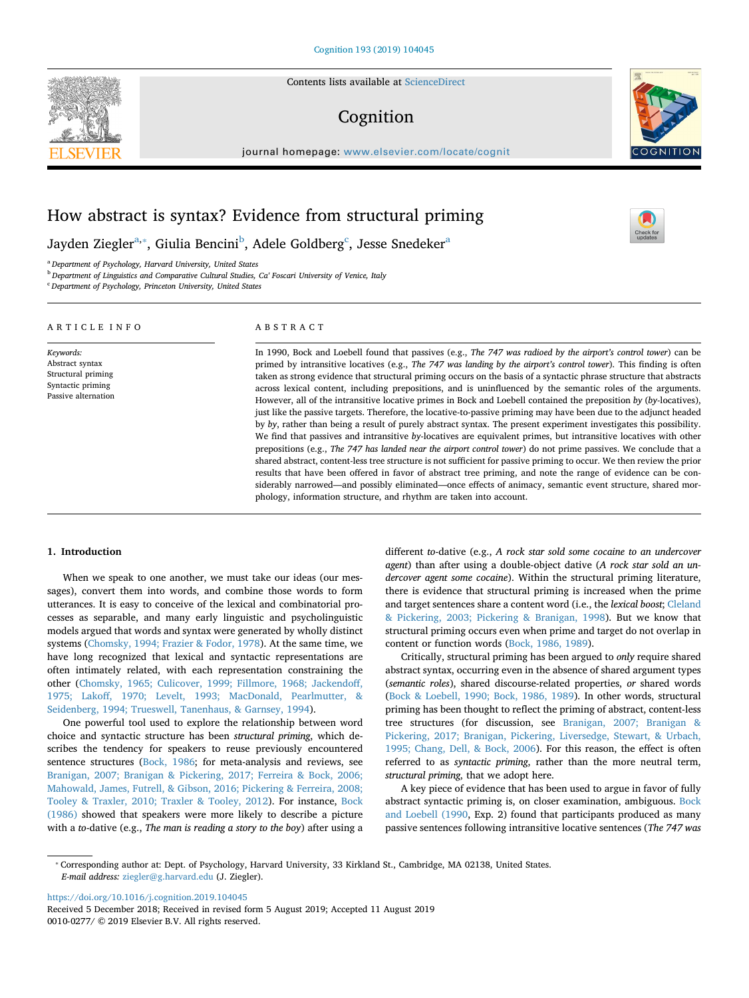Contents lists available at [ScienceDirect](http://www.sciencedirect.com/science/journal/00100277)

# Cognition



 $\frac{N}{2}$ 

journal homepage: [www.elsevier.com/locate/cognit](https://www.elsevier.com/locate/cognit)

# How abstract is syntax? Evidence from structural priming

Jayden Ziegler<sup>[a,](#page-0-0)</sup>\*, Giulia Bencini<sup>[b](#page-0-2)</sup>, Adele Goldberg<sup>[c](#page-0-3)</sup>, Jesse Snedeker<sup>[a](#page-0-0)</sup>

<span id="page-0-0"></span><sup>a</sup> *Department of Psychology, Harvard University, United States*

<span id="page-0-2"></span><sup>b</sup> *Department of Linguistics and Comparative Cultural Studies, Ca' Foscari University of Venice, Italy*

<span id="page-0-3"></span><sup>c</sup> *Department of Psychology, Princeton University, United States*

| ARTICLE INFO                                                                                   | ABSTRACT                                                                                                                                                                                                                                                                                                                                                                                                                                                                                                                                                                                                                                                                                                                                                                                                                                                                                                                                                                                                                                                                                                                                                                                                                                                                                                                                                                                                                                                                                                        |
|------------------------------------------------------------------------------------------------|-----------------------------------------------------------------------------------------------------------------------------------------------------------------------------------------------------------------------------------------------------------------------------------------------------------------------------------------------------------------------------------------------------------------------------------------------------------------------------------------------------------------------------------------------------------------------------------------------------------------------------------------------------------------------------------------------------------------------------------------------------------------------------------------------------------------------------------------------------------------------------------------------------------------------------------------------------------------------------------------------------------------------------------------------------------------------------------------------------------------------------------------------------------------------------------------------------------------------------------------------------------------------------------------------------------------------------------------------------------------------------------------------------------------------------------------------------------------------------------------------------------------|
| Keywords:<br>Abstract syntax<br>Structural priming<br>Syntactic priming<br>Passive alternation | In 1990, Bock and Loebell found that passives (e.g., The 747 was radioed by the airport's control tower) can be<br>primed by intransitive locatives (e.g., The 747 was landing by the airport's control tower). This finding is often<br>taken as strong evidence that structural priming occurs on the basis of a syntactic phrase structure that abstracts<br>across lexical content, including prepositions, and is uninfluenced by the semantic roles of the arguments.<br>However, all of the intransitive locative primes in Bock and Loebell contained the preposition by (by-locatives),<br>just like the passive targets. Therefore, the locative-to-passive priming may have been due to the adjunct headed<br>by by, rather than being a result of purely abstract syntax. The present experiment investigates this possibility.<br>We find that passives and intransitive by-locatives are equivalent primes, but intransitive locatives with other<br>prepositions (e.g., The 747 has landed near the airport control tower) do not prime passives. We conclude that a<br>shared abstract, content-less tree structure is not sufficient for passive priming to occur. We then review the prior<br>results that have been offered in favor of abstract tree priming, and note the range of evidence can be con-<br>siderably narrowed—and possibly eliminated—once effects of animacy, semantic event structure, shared mor-<br>phology, information structure, and rhythm are taken into account. |

## <span id="page-0-4"></span>**1. Introduction**

When we speak to one another, we must take our ideas (our messages), convert them into words, and combine those words to form utterances. It is easy to conceive of the lexical and combinatorial processes as separable, and many early linguistic and psycholinguistic models argued that words and syntax were generated by wholly distinct systems ([Chomsky, 1994; Frazier & Fodor, 1978\)](#page-11-0). At the same time, we have long recognized that lexical and syntactic representations are often intimately related, with each representation constraining the other ([Chomsky, 1965; Culicover, 1999; Fillmore, 1968; Jackendoff,](#page-11-1) [1975; Lakoff, 1970; Levelt, 1993; MacDonald, Pearlmutter, &](#page-11-1) [Seidenberg, 1994; Trueswell, Tanenhaus, & Garnsey, 1994](#page-11-1)).

One powerful tool used to explore the relationship between word choice and syntactic structure has been *structural priming*, which describes the tendency for speakers to reuse previously encountered sentence structures ([Bock, 1986](#page-10-0); for meta-analysis and reviews, see [Branigan, 2007; Branigan & Pickering, 2017; Ferreira & Bock, 2006;](#page-11-2) [Mahowald, James, Futrell, & Gibson, 2016; Pickering & Ferreira, 2008;](#page-11-2) [Tooley & Traxler, 2010; Traxler & Tooley, 2012](#page-11-2)). For instance, [Bock](#page-10-0) [\(1986\)](#page-10-0) showed that speakers were more likely to describe a picture with a *to*-dative (e.g., *The man is reading a story to the boy*) after using a

different *to*-dative (e.g., *A rock star sold some cocaine to an undercover agent*) than after using a double-object dative (*A rock star sold an undercover agent some cocaine*). Within the structural priming literature, there is evidence that structural priming is increased when the prime and target sentences share a content word (i.e., the *lexical boost*; [Cleland](#page-11-3) [& Pickering, 2003; Pickering & Branigan, 1998](#page-11-3)). But we know that structural priming occurs even when prime and target do not overlap in content or function words ([Bock, 1986, 1989\)](#page-10-0).

Critically, structural priming has been argued to *only* require shared abstract syntax, occurring even in the absence of shared argument types (*semantic roles*), shared discourse-related properties, *or* shared words ([Bock & Loebell, 1990; Bock, 1986, 1989](#page-10-1)). In other words, structural priming has been thought to reflect the priming of abstract, content-less tree structures (for discussion, see [Branigan, 2007; Branigan &](#page-11-2) [Pickering, 2017; Branigan, Pickering, Liversedge, Stewart, & Urbach,](#page-11-2) [1995; Chang, Dell, & Bock, 2006](#page-11-2)). For this reason, the effect is often referred to as *syntactic priming*, rather than the more neutral term, *structural priming*, that we adopt here.

A key piece of evidence that has been used to argue in favor of fully abstract syntactic priming is, on closer examination, ambiguous. [Bock](#page-10-1) [and Loebell \(1990](#page-10-1), Exp. 2) found that participants produced as many passive sentences following intransitive locative sentences (*The 747 was*

<https://doi.org/10.1016/j.cognition.2019.104045>

Received 5 December 2018; Received in revised form 5 August 2019; Accepted 11 August 2019 0010-0277/ © 2019 Elsevier B.V. All rights reserved.

<span id="page-0-1"></span><sup>⁎</sup> Corresponding author at: Dept. of Psychology, Harvard University, 33 Kirkland St., Cambridge, MA 02138, United States. *E-mail address:* [ziegler@g.harvard.edu](mailto:ziegler@g.harvard.edu) (J. Ziegler).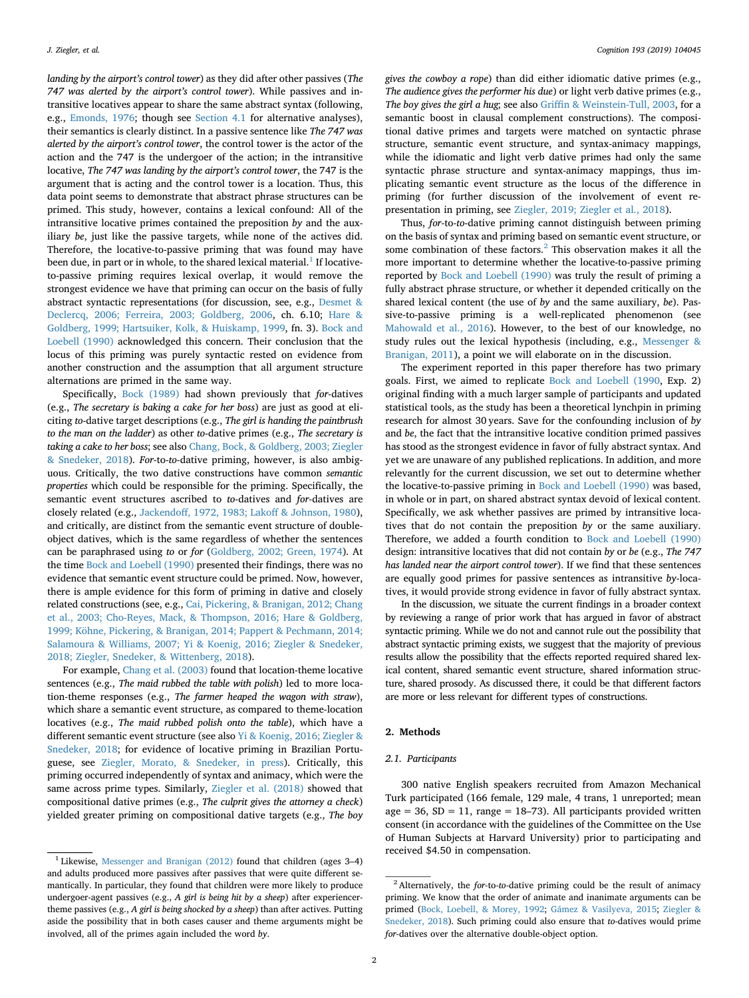*landing by the airport's control tower*) as they did after other passives (*The 747 was alerted by the airport's control tower*). While passives and intransitive locatives appear to share the same abstract syntax (following, e.g., [Emonds, 1976](#page-11-4); though see [Section 4.1](#page-5-0) for alternative analyses), their semantics is clearly distinct. In a passive sentence like *The 747 was alerted by the airport's control tower*, the control tower is the actor of the action and the 747 is the undergoer of the action; in the intransitive locative, *The 747 was landing by the airport's control tower*, the 747 is the argument that is acting and the control tower is a location. Thus, this data point seems to demonstrate that abstract phrase structures can be primed. This study, however, contains a lexical confound: All of the intransitive locative primes contained the preposition *by* and the auxiliary *be*, just like the passive targets, while none of the actives did. Therefore, the locative-to-passive priming that was found may have been due, in part or in whole, to the shared lexical material.<sup>[1](#page-1-0)</sup> If locativeto-passive priming requires lexical overlap, it would remove the strongest evidence we have that priming can occur on the basis of fully abstract syntactic representations (for discussion, see, e.g., [Desmet &](#page-11-5) [Declercq, 2006; Ferreira, 2003; Goldberg, 2006,](#page-11-5) ch. 6.10; [Hare &](#page-11-6) [Goldberg, 1999; Hartsuiker, Kolk, & Huiskamp, 1999,](#page-11-6) fn. 3). [Bock and](#page-10-1) [Loebell \(1990\)](#page-10-1) acknowledged this concern. Their conclusion that the locus of this priming was purely syntactic rested on evidence from another construction and the assumption that all argument structure alternations are primed in the same way.

Specifically, [Bock \(1989\)](#page-10-2) had shown previously that *for*-datives (e.g., *The secretary is baking a cake for her boss*) are just as good at eliciting *to*-dative target descriptions (e.g., *The girl is handing the paintbrush to the man on the ladder*) as other *to*-dative primes (e.g., *The secretary is taking a cake to her boss*; see also [Chang, Bock, & Goldberg, 2003; Ziegler](#page-11-7) [& Snedeker, 2018](#page-11-7)). *For*-to-*to*-dative priming, however, is also ambiguous. Critically, the two dative constructions have common *semantic properties* which could be responsible for the priming. Specifically, the semantic event structures ascribed to *to*-datives and *for*-datives are closely related (e.g., [Jackendoff, 1972, 1983; Lakoff & Johnson, 1980](#page-11-8)), and critically, are distinct from the semantic event structure of doubleobject datives, which is the same regardless of whether the sentences can be paraphrased using *to* or *for* ([Goldberg, 2002; Green, 1974](#page-11-9)). At the time [Bock and Loebell \(1990\)](#page-10-1) presented their findings, there was no evidence that semantic event structure could be primed. Now, however, there is ample evidence for this form of priming in dative and closely related constructions (see, e.g., [Cai, Pickering, & Branigan, 2012; Chang](#page-11-10) [et al., 2003; Cho-Reyes, Mack, & Thompson, 2016; Hare & Goldberg,](#page-11-10) [1999; Köhne, Pickering, & Branigan, 2014; Pappert & Pechmann, 2014;](#page-11-10) [Salamoura & Williams, 2007; Yi & Koenig, 2016; Ziegler & Snedeker,](#page-11-10) [2018; Ziegler, Snedeker, & Wittenberg, 2018](#page-11-10)).

For example, [Chang et al. \(2003\)](#page-11-7) found that location-theme locative sentences (e.g., *The maid rubbed the table with polish*) led to more location-theme responses (e.g., *The farmer heaped the wagon with straw*), which share a semantic event structure, as compared to theme-location locatives (e.g., *The maid rubbed polish onto the table*), which have a different semantic event structure (see also [Yi & Koenig, 2016; Ziegler &](#page-12-0) [Snedeker, 2018;](#page-12-0) for evidence of locative priming in Brazilian Portuguese, see [Ziegler, Morato, & Snedeker, in press\)](#page-12-1). Critically, this priming occurred independently of syntax and animacy, which were the same across prime types. Similarly, [Ziegler et al. \(2018\)](#page-12-2) showed that compositional dative primes (e.g., *The culprit gives the attorney a check*) yielded greater priming on compositional dative targets (e.g., *The boy*

*gives the cowboy a rope*) than did either idiomatic dative primes (e.g., *The audience gives the performer his due*) or light verb dative primes (e.g., *The boy gives the girl a hug*; see also [Griffin & Weinstein-Tull, 2003,](#page-11-11) for a semantic boost in clausal complement constructions). The compositional dative primes and targets were matched on syntactic phrase structure, semantic event structure, and syntax-animacy mappings, while the idiomatic and light verb dative primes had only the same syntactic phrase structure and syntax-animacy mappings, thus implicating semantic event structure as the locus of the difference in priming (for further discussion of the involvement of event representation in priming, see [Ziegler, 2019; Ziegler et al., 2018](#page-12-3)).

Thus, *for*-to-*to*-dative priming cannot distinguish between priming on the basis of syntax and priming based on semantic event structure, or some combination of these factors. $^{2}$  $^{2}$  $^{2}$  This observation makes it all the more important to determine whether the locative-to-passive priming reported by [Bock and Loebell \(1990\)](#page-10-1) was truly the result of priming a fully abstract phrase structure, or whether it depended critically on the shared lexical content (the use of *by* and the same auxiliary, *be*). Passive-to-passive priming is a well-replicated phenomenon (see [Mahowald et al., 2016\)](#page-11-12). However, to the best of our knowledge, no study rules out the lexical hypothesis (including, e.g., [Messenger &](#page-11-13) [Branigan, 2011](#page-11-13)), a point we will elaborate on in the discussion.

The experiment reported in this paper therefore has two primary goals. First, we aimed to replicate [Bock and Loebell \(1990](#page-10-1), Exp. 2) original finding with a much larger sample of participants and updated statistical tools, as the study has been a theoretical lynchpin in priming research for almost 30 years. Save for the confounding inclusion of *by* and *be*, the fact that the intransitive locative condition primed passives has stood as the strongest evidence in favor of fully abstract syntax. And yet we are unaware of any published replications. In addition, and more relevantly for the current discussion, we set out to determine whether the locative-to-passive priming in [Bock and Loebell \(1990\)](#page-10-1) was based, in whole or in part, on shared abstract syntax devoid of lexical content. Specifically, we ask whether passives are primed by intransitive locatives that do not contain the preposition *by* or the same auxiliary. Therefore, we added a fourth condition to [Bock and Loebell \(1990\)](#page-10-1) design: intransitive locatives that did not contain *by* or *be* (e.g., *The 747 has landed near the airport control tower*). If we find that these sentences are equally good primes for passive sentences as intransitive *by*-locatives, it would provide strong evidence in favor of fully abstract syntax.

In the discussion, we situate the current findings in a broader context by reviewing a range of prior work that has argued in favor of abstract syntactic priming. While we do not and cannot rule out the possibility that abstract syntactic priming exists, we suggest that the majority of previous results allow the possibility that the effects reported required shared lexical content, shared semantic event structure, shared information structure, shared prosody. As discussed there, it could be that different factors are more or less relevant for different types of constructions.

## <span id="page-1-2"></span>**2. Methods**

# *2.1. Participants*

300 native English speakers recruited from Amazon Mechanical Turk participated (166 female, 129 male, 4 trans, 1 unreported; mean age = 36,  $SD = 11$ , range = 18–73). All participants provided written consent (in accordance with the guidelines of the Committee on the Use of Human Subjects at Harvard University) prior to participating and

<span id="page-1-0"></span>received \$4.50 in compensation. <sup>1</sup> Likewise, [Messenger and Branigan \(2012\)](#page-11-13) found that children (ages 3–4) and adults produced more passives after passives that were quite different semantically. In particular, they found that children were more likely to produce undergoer-agent passives (e.g., *A girl is being hit by a sheep*) after experiencertheme passives (e.g., *A girl is being shocked by a sheep*) than after actives. Putting aside the possibility that in both cases causer and theme arguments might be involved, all of the primes again included the word *by*.

<span id="page-1-1"></span><sup>2</sup> Alternatively, the *for*-to-*to*-dative priming could be the result of animacy priming. We know that the order of animate and inanimate arguments can be primed [\(Bock, Loebell, & Morey, 1992](#page-10-3); [Gámez & Vasilyeva, 2015](#page-11-14); [Ziegler &](#page-12-4) [Snedeker, 2018](#page-12-4)). Such priming could also ensure that *to*-datives would prime *for*-datives over the alternative double-object option.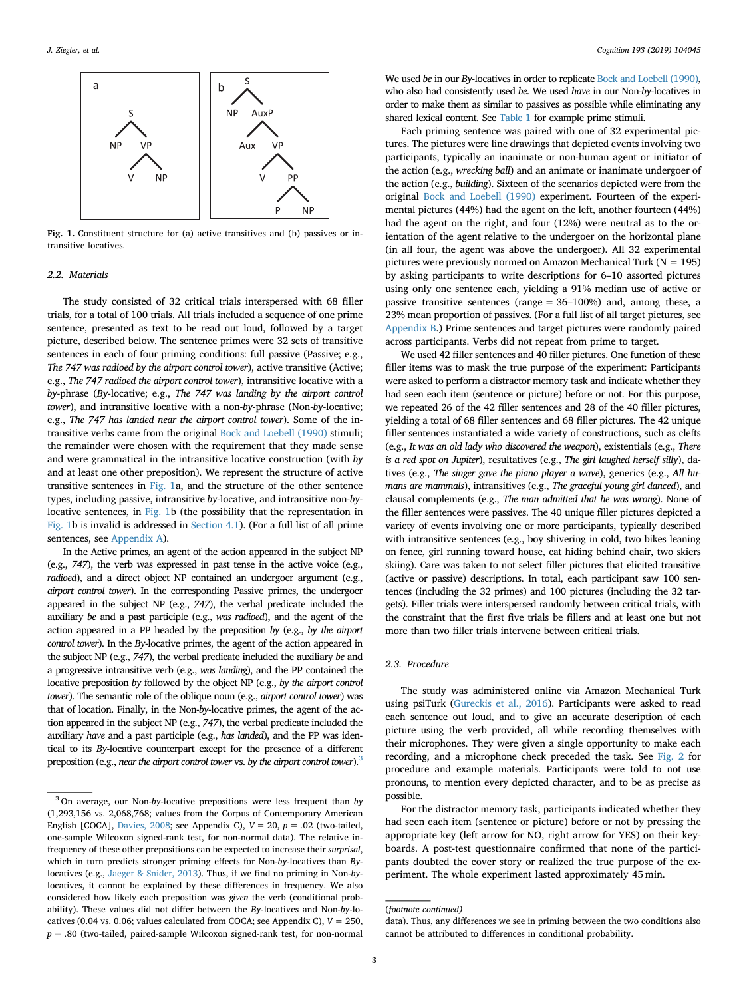<span id="page-2-0"></span>

**Fig. 1.** Constituent structure for (a) active transitives and (b) passives or intransitive locatives.

## *2.2. Materials*

The study consisted of 32 critical trials interspersed with 68 filler trials, for a total of 100 trials. All trials included a sequence of one prime sentence, presented as text to be read out loud, followed by a target picture, described below. The sentence primes were 32 sets of transitive sentences in each of four priming conditions: full passive (Passive; e.g., *The 747 was radioed by the airport control tower*), active transitive (Active; e.g., *The 747 radioed the airport control tower*), intransitive locative with a *by*-phrase (*By*-locative; e.g., *The 747 was landing by the airport control tower*), and intransitive locative with a non-*by*-phrase (Non-*by*-locative; e.g., *The 747 has landed near the airport control tower*). Some of the intransitive verbs came from the original [Bock and Loebell \(1990\)](#page-10-1) stimuli; the remainder were chosen with the requirement that they made sense and were grammatical in the intransitive locative construction (with *by* and at least one other preposition). We represent the structure of active transitive sentences in [Fig. 1a](#page-2-0), and the structure of the other sentence types, including passive, intransitive *by*-locative, and intransitive non-*by*locative sentences, in [Fig. 1b](#page-2-0) (the possibility that the representation in [Fig. 1](#page-2-0)b is invalid is addressed in [Section 4.1\)](#page-5-0). (For a full list of all prime sentences, see [Appendix A\)](#page-0-4).

In the Active primes, an agent of the action appeared in the subject NP (e.g., *747*), the verb was expressed in past tense in the active voice (e.g., *radioed*), and a direct object NP contained an undergoer argument (e.g., *airport control tower*). In the corresponding Passive primes, the undergoer appeared in the subject NP (e.g., *747*), the verbal predicate included the auxiliary *be* and a past participle (e.g., *was radioed*), and the agent of the action appeared in a PP headed by the preposition *by* (e.g., *by the airport control tower*). In the *By*-locative primes, the agent of the action appeared in the subject NP (e.g., *747*), the verbal predicate included the auxiliary *be* and a progressive intransitive verb (e.g., *was landing*), and the PP contained the locative preposition *by* followed by the object NP (e.g., *by the airport control tower*). The semantic role of the oblique noun (e.g., *airport control tower*) was that of location. Finally, in the Non-*by*-locative primes, the agent of the action appeared in the subject NP (e.g., *747*), the verbal predicate included the auxiliary *have* and a past participle (e.g., *has landed*), and the PP was identical to its *By*-locative counterpart except for the presence of a different preposition (e.g., *near the airport control tower* vs. *by the airport control tower*)[.3](#page-2-1)

We used *be* in our *By*-locatives in order to replicate [Bock and Loebell \(1990\)](#page-10-1), who also had consistently used *be*. We used *have* in our Non-*by*-locatives in order to make them as similar to passives as possible while eliminating any shared lexical content. See [Table 1](#page-3-0) for example prime stimuli.

Each priming sentence was paired with one of 32 experimental pictures. The pictures were line drawings that depicted events involving two participants, typically an inanimate or non-human agent or initiator of the action (e.g., *wrecking ball*) and an animate or inanimate undergoer of the action (e.g., *building*). Sixteen of the scenarios depicted were from the original [Bock and Loebell \(1990\)](#page-10-1) experiment. Fourteen of the experimental pictures (44%) had the agent on the left, another fourteen (44%) had the agent on the right, and four (12%) were neutral as to the orientation of the agent relative to the undergoer on the horizontal plane (in all four, the agent was above the undergoer). All 32 experimental pictures were previously normed on Amazon Mechanical Turk ( $N = 195$ ) by asking participants to write descriptions for 6–10 assorted pictures using only one sentence each, yielding a 91% median use of active or passive transitive sentences (range = 36–100%) and, among these, a 23% mean proportion of passives. (For a full list of all target pictures, see [Appendix B.](#page-1-2)) Prime sentences and target pictures were randomly paired across participants. Verbs did not repeat from prime to target.

We used 42 filler sentences and 40 filler pictures. One function of these filler items was to mask the true purpose of the experiment: Participants were asked to perform a distractor memory task and indicate whether they had seen each item (sentence or picture) before or not. For this purpose, we repeated 26 of the 42 filler sentences and 28 of the 40 filler pictures, yielding a total of 68 filler sentences and 68 filler pictures. The 42 unique filler sentences instantiated a wide variety of constructions, such as clefts (e.g., *It was an old lady who discovered the weapon*), existentials (e.g., *There is a red spot on Jupiter*), resultatives (e.g., *The girl laughed herself silly*), datives (e.g., *The singer gave the piano player a wave*), generics (e.g., *All humans are mammals*), intransitives (e.g., *The graceful young girl danced*), and clausal complements (e.g., *The man admitted that he was wrong*). None of the filler sentences were passives. The 40 unique filler pictures depicted a variety of events involving one or more participants, typically described with intransitive sentences (e.g., boy shivering in cold, two bikes leaning on fence, girl running toward house, cat hiding behind chair, two skiers skiing). Care was taken to not select filler pictures that elicited transitive (active or passive) descriptions. In total, each participant saw 100 sentences (including the 32 primes) and 100 pictures (including the 32 targets). Filler trials were interspersed randomly between critical trials, with the constraint that the first five trials be fillers and at least one but not more than two filler trials intervene between critical trials.

# *2.3. Procedure*

The study was administered online via Amazon Mechanical Turk using psiTurk [\(Gureckis et al., 2016\)](#page-11-15). Participants were asked to read each sentence out loud, and to give an accurate description of each picture using the verb provided, all while recording themselves with their microphones. They were given a single opportunity to make each recording, and a microphone check preceded the task. See [Fig. 2](#page-3-1) for procedure and example materials. Participants were told to not use pronouns, to mention every depicted character, and to be as precise as possible.

For the distractor memory task, participants indicated whether they had seen each item (sentence or picture) before or not by pressing the appropriate key (left arrow for NO, right arrow for YES) on their keyboards. A post-test questionnaire confirmed that none of the participants doubted the cover story or realized the true purpose of the experiment. The whole experiment lasted approximately 45 min.

<span id="page-2-1"></span><sup>3</sup> On average, our Non-*by*-locative prepositions were less frequent than *by* (1,293,156 vs. 2,068,768; values from the Corpus of Contemporary American English [COCA], [Davies, 2008](#page-11-16); see Appendix C),  $V = 20$ ,  $p = .02$  (two-tailed, one-sample Wilcoxon signed-rank test, for non-normal data). The relative infrequency of these other prepositions can be expected to increase their *surprisal*, which in turn predicts stronger priming effects for Non-*by*-locatives than *By*locatives (e.g., [Jaeger & Snider, 2013](#page-11-17)). Thus, if we find no priming in Non-*by*locatives, it cannot be explained by these differences in frequency. We also considered how likely each preposition was *given* the verb (conditional probability). These values did not differ between the *By*-locatives and Non-*by*-locatives (0.04 vs. 0.06; values calculated from COCA; see Appendix C),  $V = 250$ , *p* = .80 (two-tailed, paired-sample Wilcoxon signed-rank test, for non-normal

<sup>(</sup>*footnote continued)*

data). Thus, any differences we see in priming between the two conditions also cannot be attributed to differences in conditional probability.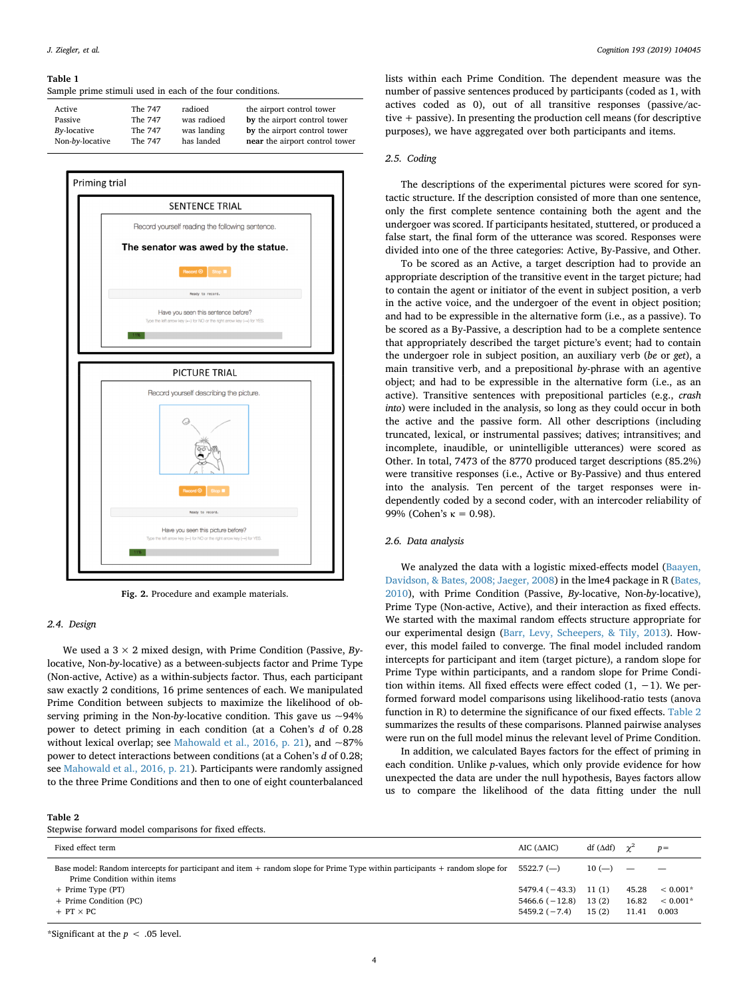#### <span id="page-3-0"></span>**Table 1**

Sample prime stimuli used in each of the four conditions.

| Active          | The 747 | radioed     | the airport control tower      |
|-----------------|---------|-------------|--------------------------------|
| Passive         | The 747 | was radioed | by the airport control tower   |
| By-locative     | The 747 | was landing | by the airport control tower   |
| Non-by-locative | The 747 | has landed  | near the airport control tower |

<span id="page-3-1"></span>

**Fig. 2.** Procedure and example materials.

#### *2.4. Design*

We used a 3 × 2 mixed design, with Prime Condition (Passive, *By*locative, Non-*by*-locative) as a between-subjects factor and Prime Type (Non-active, Active) as a within-subjects factor. Thus, each participant saw exactly 2 conditions, 16 prime sentences of each. We manipulated Prime Condition between subjects to maximize the likelihood of observing priming in the Non-by-locative condition. This gave us  $\sim$ 94% power to detect priming in each condition (at a Cohen's *d* of 0.28 without lexical overlap; see [Mahowald et al., 2016, p. 21](#page-11-12)), and  $\sim$ 87% power to detect interactions between conditions (at a Cohen's *d* of 0.28; see [Mahowald et al., 2016, p. 21\)](#page-11-12). Participants were randomly assigned to the three Prime Conditions and then to one of eight counterbalanced

#### *J. Ziegler, et al. Cognition 193 (2019) 104045*

lists within each Prime Condition. The dependent measure was the number of passive sentences produced by participants (coded as 1, with actives coded as 0), out of all transitive responses (passive/active + passive). In presenting the production cell means (for descriptive purposes), we have aggregated over both participants and items.

#### *2.5. Coding*

The descriptions of the experimental pictures were scored for syntactic structure. If the description consisted of more than one sentence, only the first complete sentence containing both the agent and the undergoer was scored. If participants hesitated, stuttered, or produced a false start, the final form of the utterance was scored. Responses were divided into one of the three categories: Active, By-Passive, and Other.

To be scored as an Active, a target description had to provide an appropriate description of the transitive event in the target picture; had to contain the agent or initiator of the event in subject position, a verb in the active voice, and the undergoer of the event in object position; and had to be expressible in the alternative form (i.e., as a passive). To be scored as a By-Passive, a description had to be a complete sentence that appropriately described the target picture's event; had to contain the undergoer role in subject position, an auxiliary verb (*be* or *get*), a main transitive verb, and a prepositional *by*-phrase with an agentive object; and had to be expressible in the alternative form (i.e., as an active). Transitive sentences with prepositional particles (e.g., *crash into*) were included in the analysis, so long as they could occur in both the active and the passive form. All other descriptions (including truncated, lexical, or instrumental passives; datives; intransitives; and incomplete, inaudible, or unintelligible utterances) were scored as Other. In total, 7473 of the 8770 produced target descriptions (85.2%) were transitive responses (i.e., Active or By-Passive) and thus entered into the analysis. Ten percent of the target responses were independently coded by a second coder, with an intercoder reliability of 99% (Cohen's κ = 0.98).

#### *2.6. Data analysis*

We analyzed the data with a logistic mixed-effects model ([Baayen,](#page-10-4) [Davidson, & Bates, 2008; Jaeger, 2008\)](#page-10-4) in the lme4 package in R ([Bates,](#page-10-5) [2010\)](#page-10-5), with Prime Condition (Passive, *By*-locative, Non-*by*-locative), Prime Type (Non-active, Active), and their interaction as fixed effects. We started with the maximal random effects structure appropriate for our experimental design [\(Barr, Levy, Scheepers, & Tily, 2013](#page-10-6)). However, this model failed to converge. The final model included random intercepts for participant and item (target picture), a random slope for Prime Type within participants, and a random slope for Prime Condition within items. All fixed effects were effect coded  $(1, -1)$ . We performed forward model comparisons using likelihood-ratio tests (anova function in R) to determine the significance of our fixed effects. [Table 2](#page-3-2) summarizes the results of these comparisons. Planned pairwise analyses were run on the full model minus the relevant level of Prime Condition.

In addition, we calculated Bayes factors for the effect of priming in each condition. Unlike *p*-values, which only provide evidence for how unexpected the data are under the null hypothesis, Bayes factors allow us to compare the likelihood of the data fitting under the null

#### <span id="page-3-2"></span>**Table 2**

| Fixed effect term                                                                                                                                               | AIC $(AAIC)$           | df ( $\Delta df$ ) $\gamma^2$ |       | $p =$      |
|-----------------------------------------------------------------------------------------------------------------------------------------------------------------|------------------------|-------------------------------|-------|------------|
| Base model: Random intercepts for participant and item $+$ random slope for Prime Type within participants $+$ random slope for<br>Prime Condition within items | $5522.7$ (-)           | $10 (-)$                      |       |            |
| + Prime Type (PT)                                                                                                                                               | $5479.4(-43.3)$ 11 (1) |                               | 45.28 | $< 0.001*$ |
| + Prime Condition (PC)                                                                                                                                          | $5466.6(-12.8)$        | 13(2)                         | 16.82 | $< 0.001*$ |
| $+$ PT $\times$ PC                                                                                                                                              | $5459.2(-7.4)$         | 15(2)                         | 11.41 | 0.003      |
|                                                                                                                                                                 |                        |                               |       |            |

\*Significant at the *p* < .05 level.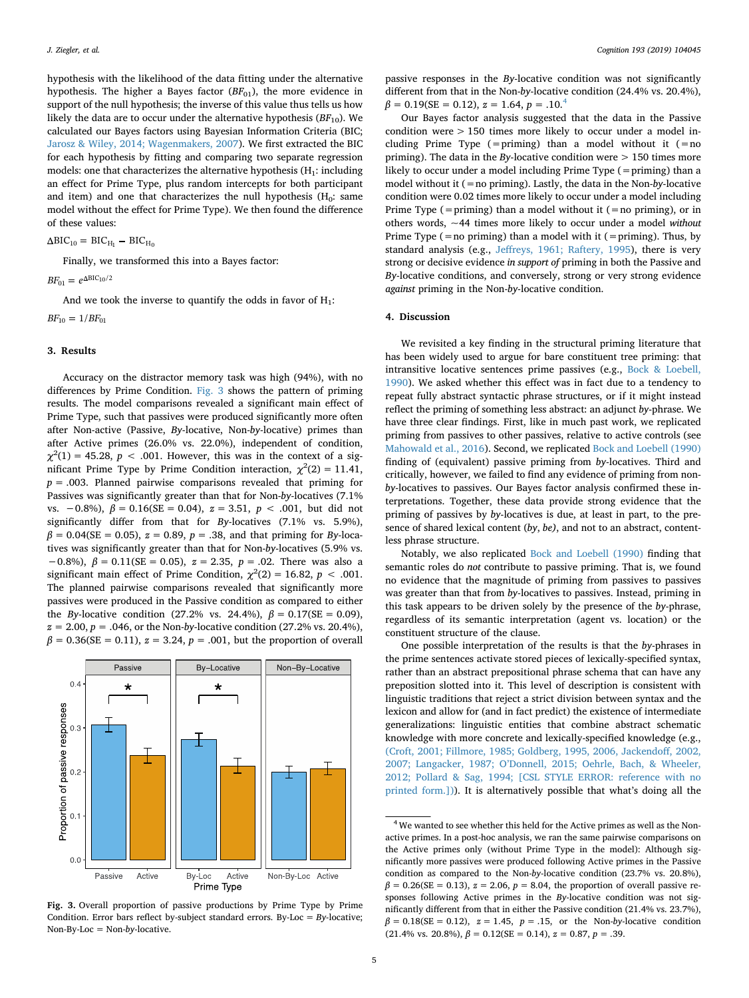hypothesis with the likelihood of the data fitting under the alternative hypothesis. The higher a Bayes factor ( $BF_{01}$ ), the more evidence in support of the null hypothesis; the inverse of this value thus tells us how likely the data are to occur under the alternative hypothesis  $(BF_{10})$ . We calculated our Bayes factors using Bayesian Information Criteria (BIC; [Jarosz & Wiley, 2014; Wagenmakers, 2007\)](#page-11-18). We first extracted the BIC for each hypothesis by fitting and comparing two separate regression models: one that characterizes the alternative hypothesis  $(H_1:$  including an effect for Prime Type, plus random intercepts for both participant and item) and one that characterizes the null hypothesis  $(H_0: same)$ model without the effect for Prime Type). We then found the difference of these values:

 $\Delta BIC_{10} = BIC_{H_1} - BIC_{H_0}$ 

Finally, we transformed this into a Bayes factor:

 $BF_{01} = e^{\Delta BIC_{10}/2}$ 

And we took the inverse to quantify the odds in favor of  $H_1$ :  $BF_{10} = 1/BF_{01}$ 

#### **3. Results**

Accuracy on the distractor memory task was high (94%), with no differences by Prime Condition. [Fig. 3](#page-4-0) shows the pattern of priming results. The model comparisons revealed a significant main effect of Prime Type, such that passives were produced significantly more often after Non-active (Passive, *By*-locative, Non-*by*-locative) primes than after Active primes (26.0% vs. 22.0%), independent of condition,  $\chi^2(1) = 45.28$ ,  $p < .001$ . However, this was in the context of a significant Prime Type by Prime Condition interaction,  $\chi^2(2) = 11.41$ , *p* = .003. Planned pairwise comparisons revealed that priming for Passives was significantly greater than that for Non-*by*-locatives (7.1% vs. −0.8%), *β* = 0.16(SE = 0.04), *z* = 3.51, *p* < .001, but did not significantly differ from that for *By*-locatives (7.1% vs. 5.9%),  $\beta = 0.04$ (SE = 0.05),  $z = 0.89$ ,  $p = .38$ , and that priming for *By*-locatives was significantly greater than that for Non-*by*-locatives (5.9% vs. −0.8%), *β* = 0.11(SE = 0.05), *z* = 2.35, *p* = .02. There was also a significant main effect of Prime Condition,  $\chi^2(2) = 16.82$ ,  $p < .001$ . The planned pairwise comparisons revealed that significantly more passives were produced in the Passive condition as compared to either the *By*-locative condition (27.2% vs. 24.4%),  $β = 0.17$  (SE = 0.09),  $z = 2.00, p = .046$ , or the Non-*by*-locative condition (27.2% vs. 20.4%),  $β = 0.36$ (SE = 0.11),  $z = 3.24$ ,  $p = .001$ , but the proportion of overall

<span id="page-4-0"></span>

**Fig. 3.** Overall proportion of passive productions by Prime Type by Prime Condition. Error bars reflect by-subject standard errors. By-Loc = *By*-locative; Non-By-Loc = Non-*by*-locative.

passive responses in the *By*-locative condition was not significantly different from that in the Non-*by*-locative condition (24.4% vs. 20.4%),  $\beta = 0.19$ (SE = 0.12),  $z = 1.64$  $z = 1.64$ ,  $p = .10$ <sup>4</sup>

Our Bayes factor analysis suggested that the data in the Passive condition were > 150 times more likely to occur under a model including Prime Type (=priming) than a model without it (= $no$ priming). The data in the *By*-locative condition were > 150 times more likely to occur under a model including Prime Type (=priming) than a model without it (=no priming). Lastly, the data in the Non-*by*-locative condition were 0.02 times more likely to occur under a model including Prime Type (=priming) than a model without it (=no priming), or in others words, ~44 times more likely to occur under a model *without* Prime Type  $(=$  no priming) than a model with it  $(=$  priming). Thus, by standard analysis (e.g., [Jeffreys, 1961; Raftery, 1995\)](#page-11-19), there is very strong or decisive evidence *in support of* priming in both the Passive and *By*-locative conditions, and conversely, strong or very strong evidence *against* priming in the Non-*by*-locative condition.

## **4. Discussion**

We revisited a key finding in the structural priming literature that has been widely used to argue for bare constituent tree priming: that intransitive locative sentences prime passives (e.g., [Bock & Loebell,](#page-10-1) [1990\)](#page-10-1). We asked whether this effect was in fact due to a tendency to repeat fully abstract syntactic phrase structures, or if it might instead reflect the priming of something less abstract: an adjunct *by*-phrase. We have three clear findings. First, like in much past work, we replicated priming from passives to other passives, relative to active controls (see [Mahowald et al., 2016](#page-11-12)). Second, we replicated [Bock and Loebell \(1990\)](#page-10-1) finding of (equivalent) passive priming from *by*-locatives. Third and critically, however, we failed to find any evidence of priming from non*by*-locatives to passives. Our Bayes factor analysis confirmed these interpretations. Together, these data provide strong evidence that the priming of passives by *by*-locatives is due, at least in part, to the presence of shared lexical content (*by*, *be)*, and not to an abstract, contentless phrase structure.

Notably, we also replicated [Bock and Loebell \(1990\)](#page-10-1) finding that semantic roles do *not* contribute to passive priming. That is, we found no evidence that the magnitude of priming from passives to passives was greater than that from *by*-locatives to passives. Instead, priming in this task appears to be driven solely by the presence of the *by*-phrase, regardless of its semantic interpretation (agent vs. location) or the constituent structure of the clause.

One possible interpretation of the results is that the *by*-phrases in the prime sentences activate stored pieces of lexically-specified syntax, rather than an abstract prepositional phrase schema that can have any preposition slotted into it. This level of description is consistent with linguistic traditions that reject a strict division between syntax and the lexicon and allow for (and in fact predict) the existence of intermediate generalizations: linguistic entities that combine abstract schematic knowledge with more concrete and lexically-specified knowledge (e.g., [\(Croft, 2001; Fillmore, 1985; Goldberg, 1995, 2006, Jackendoff, 2002,](#page-11-20) [2007; Langacker, 1987; O'Donnell, 2015; Oehrle, Bach, & Wheeler,](#page-11-20) [2012; Pollard & Sag, 1994; \[CSL STYLE ERROR: reference with no](#page-11-20) [printed form.\]\)](#page-11-20)). It is alternatively possible that what's doing all the

<span id="page-4-1"></span><sup>&</sup>lt;sup>4</sup> We wanted to see whether this held for the Active primes as well as the Nonactive primes. In a post-hoc analysis, we ran the same pairwise comparisons on the Active primes only (without Prime Type in the model): Although significantly more passives were produced following Active primes in the Passive condition as compared to the Non-*by*-locative condition (23.7% vs. 20.8%),  $\beta = 0.26$ (SE = 0.13),  $z = 2.06$ ,  $p = 8.04$ , the proportion of overall passive responses following Active primes in the *By*-locative condition was not significantly different from that in either the Passive condition (21.4% vs. 23.7%),  $\beta = 0.18$ (SE = 0.12),  $z = 1.45$ ,  $p = .15$ , or the Non-by-locative condition (21.4% vs. 20.8%),  $\beta = 0.12$ (SE = 0.14),  $z = 0.87$ ,  $p = .39$ .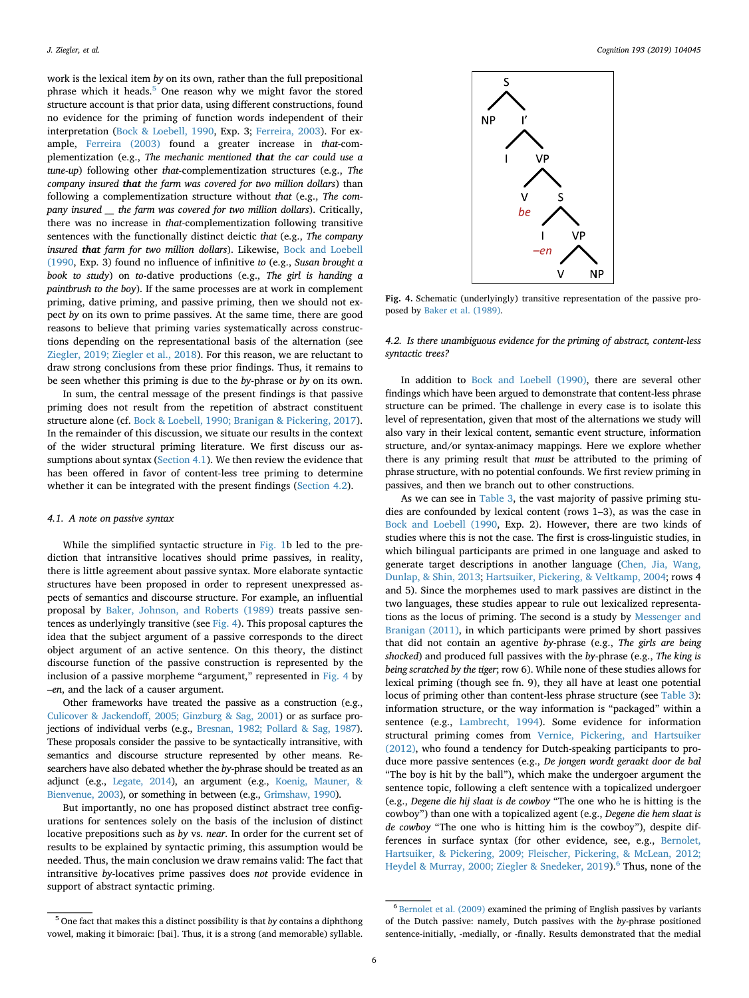work is the lexical item *by* on its own, rather than the full prepositional phrase which it heads. $5$  One reason why we might favor the stored structure account is that prior data, using different constructions, found no evidence for the priming of function words independent of their interpretation ([Bock & Loebell, 1990](#page-10-1), Exp. 3; [Ferreira, 2003\)](#page-11-21). For example, [Ferreira \(2003\)](#page-11-21) found a greater increase in *that*-complementization (e.g., *The mechanic mentioned that the car could use a tune-up*) following other *that*-complementization structures (e.g., *The company insured that the farm was covered for two million dollars*) than following a complementization structure without *that* (e.g., *The company insured \_\_\_ the farm was covered for two million dollars*). Critically, there was no increase in *that*-complementization following transitive sentences with the functionally distinct deictic *that* (e.g., *The company insured that farm for two million dollars*). Likewise, [Bock and Loebell](#page-10-1) [\(1990,](#page-10-1) Exp. 3) found no influence of infinitive *to* (e.g., *Susan brought a book to study*) on *to*-dative productions (e.g., *The girl is handing a paintbrush to the boy*). If the same processes are at work in complement priming, dative priming, and passive priming, then we should not expect *by* on its own to prime passives. At the same time, there are good reasons to believe that priming varies systematically across constructions depending on the representational basis of the alternation (see [Ziegler, 2019; Ziegler et al., 2018\)](#page-12-3). For this reason, we are reluctant to draw strong conclusions from these prior findings. Thus, it remains to be seen whether this priming is due to the *by*-phrase or *by* on its own.

In sum, the central message of the present findings is that passive priming does not result from the repetition of abstract constituent structure alone (cf. [Bock & Loebell, 1990; Branigan & Pickering, 2017](#page-10-1)). In the remainder of this discussion, we situate our results in the context of the wider structural priming literature. We first discuss our assumptions about syntax [\(Section 4.1](#page-5-0)). We then review the evidence that has been offered in favor of content-less tree priming to determine whether it can be integrated with the present findings ([Section 4.2](#page-5-2)).

## <span id="page-5-0"></span>*4.1. A note on passive syntax*

While the simplified syntactic structure in [Fig. 1b](#page-2-0) led to the prediction that intransitive locatives should prime passives, in reality, there is little agreement about passive syntax. More elaborate syntactic structures have been proposed in order to represent unexpressed aspects of semantics and discourse structure. For example, an influential proposal by [Baker, Johnson, and Roberts \(1989\)](#page-10-7) treats passive sentences as underlyingly transitive (see [Fig. 4](#page-5-3)). This proposal captures the idea that the subject argument of a passive corresponds to the direct object argument of an active sentence. On this theory, the distinct discourse function of the passive construction is represented by the inclusion of a passive morpheme "argument," represented in [Fig. 4](#page-5-3) by *–en*, and the lack of a causer argument.

Other frameworks have treated the passive as a construction (e.g., [Culicover & Jackendoff, 2005; Ginzburg & Sag, 2001](#page-11-22)) or as surface projections of individual verbs (e.g., [Bresnan, 1982; Pollard & Sag, 1987\)](#page-11-23). These proposals consider the passive to be syntactically intransitive, with semantics and discourse structure represented by other means. Researchers have also debated whether the *by*-phrase should be treated as an adjunct (e.g., [Legate, 2014](#page-11-24)), an argument (e.g., [Koenig, Mauner, &](#page-11-25) [Bienvenue, 2003\)](#page-11-25), or something in between (e.g., [Grimshaw, 1990\)](#page-11-26).

But importantly, no one has proposed distinct abstract tree configurations for sentences solely on the basis of the inclusion of distinct locative prepositions such as *by* vs. *near*. In order for the current set of results to be explained by syntactic priming, this assumption would be needed. Thus, the main conclusion we draw remains valid: The fact that intransitive *by*-locatives prime passives does *not* provide evidence in support of abstract syntactic priming.

<span id="page-5-3"></span>

**Fig. 4.** Schematic (underlyingly) transitive representation of the passive proposed by [Baker et al. \(1989\)](#page-10-7).

# <span id="page-5-2"></span>*4.2. Is there unambiguous evidence for the priming of abstract, content-less syntactic trees?*

In addition to [Bock and Loebell \(1990\),](#page-10-1) there are several other findings which have been argued to demonstrate that content-less phrase structure can be primed. The challenge in every case is to isolate this level of representation, given that most of the alternations we study will also vary in their lexical content, semantic event structure, information structure, and/or syntax-animacy mappings. Here we explore whether there is any priming result that *must* be attributed to the priming of phrase structure, with no potential confounds. We first review priming in passives, and then we branch out to other constructions.

As we can see in [Table 3](#page-6-0), the vast majority of passive priming studies are confounded by lexical content (rows 1–3), as was the case in [Bock and Loebell \(1990](#page-10-1), Exp. 2). However, there are two kinds of studies where this is not the case. The first is cross-linguistic studies, in which bilingual participants are primed in one language and asked to generate target descriptions in another language [\(Chen, Jia, Wang,](#page-11-27) [Dunlap, & Shin, 2013](#page-11-27); [Hartsuiker, Pickering, & Veltkamp, 2004;](#page-11-28) rows 4 and 5). Since the morphemes used to mark passives are distinct in the two languages, these studies appear to rule out lexicalized representations as the locus of priming. The second is a study by [Messenger and](#page-11-13) [Branigan \(2011\)](#page-11-13), in which participants were primed by short passives that did not contain an agentive *by*-phrase (e.g., *The girls are being shocked*) and produced full passives with the *by*-phrase (e.g., *The king is being scratched by the tiger*; row 6). While none of these studies allows for lexical priming (though see fn. 9), they all have at least one potential locus of priming other than content-less phrase structure (see [Table 3](#page-6-0)): information structure, or the way information is "packaged" within a sentence (e.g., [Lambrecht, 1994\)](#page-11-29). Some evidence for information structural priming comes from [Vernice, Pickering, and Hartsuiker](#page-12-5) [\(2012\),](#page-12-5) who found a tendency for Dutch-speaking participants to produce more passive sentences (e.g., *De jongen wordt geraakt door de bal* "The boy is hit by the ball"), which make the undergoer argument the sentence topic, following a cleft sentence with a topicalized undergoer (e.g., *Degene die hij slaat is de cowboy* "The one who he is hitting is the cowboy") than one with a topicalized agent (e.g., *Degene die hem slaat is de cowboy* "The one who is hitting him is the cowboy"), despite differences in surface syntax (for other evidence, see, e.g., [Bernolet,](#page-10-8) [Hartsuiker, & Pickering, 2009; Fleischer, Pickering, & McLean, 2012;](#page-10-8) [Heydel & Murray, 2000; Ziegler & Snedeker, 2019\)](#page-10-8).<sup>[6](#page-5-4)</sup> Thus, none of the

<span id="page-5-1"></span><sup>5</sup> One fact that makes this a distinct possibility is that *by* contains a diphthong vowel, making it bimoraic: [bai]. Thus, it is a strong (and memorable) syllable.

<span id="page-5-4"></span> $^6$  [Bernolet et al. \(2009\)](#page-10-8) examined the priming of English passives by variants of the Dutch passive: namely, Dutch passives with the *by*-phrase positioned sentence-initially, -medially, or -finally. Results demonstrated that the medial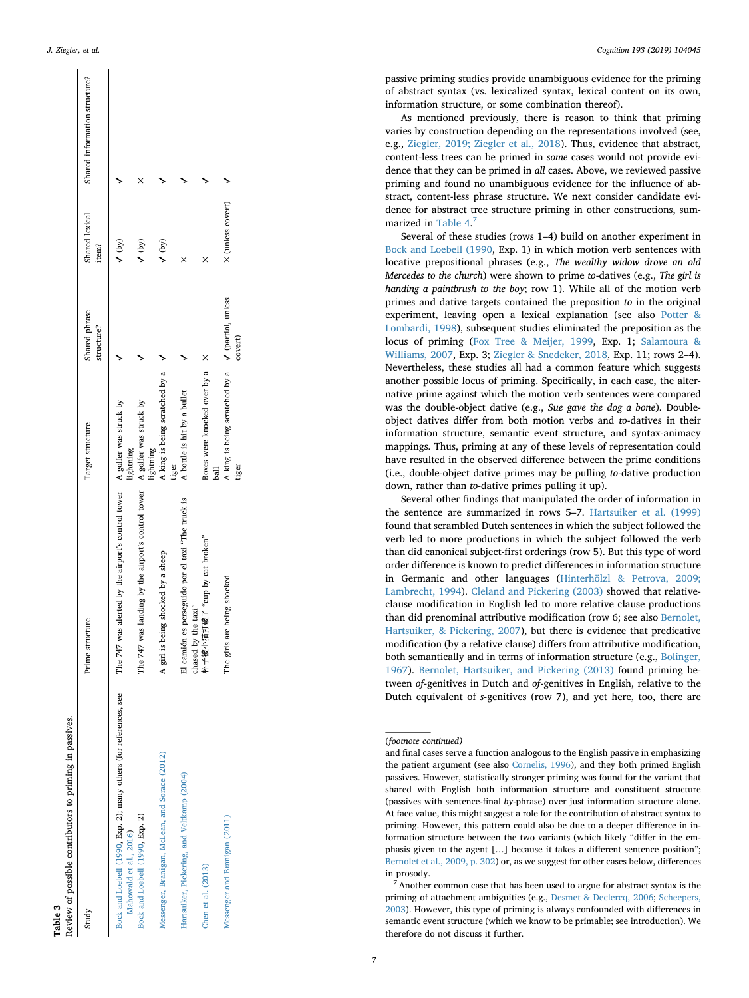<span id="page-6-0"></span>

| Study                                                                                       | Prime structure                                                           | Target structure                                                    | Shared phrase<br>structure? | Shared lexical<br>item? | Shared information structure? |
|---------------------------------------------------------------------------------------------|---------------------------------------------------------------------------|---------------------------------------------------------------------|-----------------------------|-------------------------|-------------------------------|
| Bock and Loebell (1990, Exp. 2); many others (for references, see<br>Mahowald et al., 2016) | The 747 was alerted by the airport's control tower A golfer was struck by | lightning                                                           |                             | (by)                    |                               |
| Bock and Loebell (1990, Exp. 2)                                                             | The 747 was landing by the airport's control tower                        | A golfer was struck by<br>lightning                                 |                             | $\sqrt{(by)}$           | ×                             |
| Messenger, Branigan, McLean, and Sorace (2012)                                              | A girl is being shocked by a sheep                                        | A king is being scratched by a<br>tiger                             |                             | (by)                    |                               |
| Hartsuiker, Pickering, and Veltkamp (2004)                                                  | El camión es perseguido por el taxi "The truck is<br>chased by the taxi"  | A bottle is hit by a bullet                                         |                             | ×                       |                               |
| Chen et al. (2013)                                                                          | 杯子被小猫打破了 "cup by cat broken"                                              | Boxes were knocked over by a X<br>ball                              |                             |                         |                               |
| Messenger and Branigan (2011)                                                               | The girls are being shocked                                               | A king is being scratched by a $\sqrt{2}$ (partial, unless<br>tiger | covert)                     | X (unless covert)       |                               |

**Table 3**

passive priming studies provide unambiguous evidence for the priming of abstract syntax (vs. lexicalized syntax, lexical content on its own, information structure, or some combination thereof).

As mentioned previously, there is reason to think that priming varies by construction depending on the representations involved (see, e.g., [Ziegler, 2019; Ziegler et al., 2018\)](#page-12-3). Thus, evidence that abstract, content-less trees can be primed in *some* cases would not provide evidence that they can be primed in *all* cases. Above, we reviewed passive priming and found no unambiguous evidence for the influence of abstract, content-less phrase structure. We next consider candidate evidence for abstract tree structure priming in other constructions, sum-marized in [Table 4.](#page-7-0)<sup>[7](#page-6-1)</sup>

Several of these studies (rows 1–4) build on another experiment in [Bock and Loebell \(1990,](#page-10-1) Exp. 1) in which motion verb sentences with locative prepositional phrases (e.g., *The wealthy widow drove an old Mercedes to the church*) were shown to prime *to*-datives (e.g., *The girl is handing a paintbrush to the boy*; row 1). While all of the motion verb primes and dative targets contained the preposition *to* in the original experiment, leaving open a lexical explanation (see also [Potter &](#page-11-30) [Lombardi, 1998](#page-11-30)), subsequent studies eliminated the preposition as the locus of priming [\(Fox Tree & Meijer, 1999,](#page-11-31) Exp. 1; [Salamoura &](#page-12-6) [Williams, 2007](#page-12-6), Exp. 3; [Ziegler & Snedeker, 2018](#page-12-4), Exp. 11; rows 2–4). Nevertheless, these studies all had a common feature which suggests another possible locus of priming. Specifically, in each case, the alternative prime against which the motion verb sentences were compared was the double-object dative (e.g., *Sue gave the dog a bone*). Doubleobject datives differ from both motion verbs and *to*-datives in their information structure, semantic event structure, and syntax-animacy mappings. Thus, priming at any of these levels of representation could have resulted in the observed difference between the prime conditions (i.e., double-object dative primes may be pulling *to*-dative production down, rather than *to*-dative primes pulling it up).

Several other findings that manipulated the order of information in the sentence are summarized in rows 5–7. [Hartsuiker et al. \(1999\)](#page-11-32) found that scrambled Dutch sentences in which the subject followed the verb led to more productions in which the subject followed the verb than did canonical subject-first orderings (row 5). But this type of word order difference is known to predict differences in information structure in Germanic and other languages ([Hinterhölzl & Petrova, 2009;](#page-11-33) [Lambrecht, 1994\)](#page-11-33). [Cleland and Pickering \(2003\)](#page-11-3) showed that relativeclause modification in English led to more relative clause productions than did prenominal attributive modification (row 6; see also [Bernolet,](#page-10-9) [Hartsuiker, & Pickering, 2007](#page-10-9)), but there is evidence that predicative modification (by a relative clause) differs from attributive modification, both semantically and in terms of information structure (e.g., [Bolinger,](#page-11-34) [1967\)](#page-11-34). [Bernolet, Hartsuiker, and Pickering \(2013\)](#page-10-10) found priming between *of*-genitives in Dutch and *of*-genitives in English, relative to the Dutch equivalent of *s*-genitives (row 7), and yet here, too, there are

<sup>(</sup>*footnote continued)*

and final cases serve a function analogous to the English passive in emphasizing the patient argument (see also [Cornelis, 1996](#page-11-36)), and they both primed English passives. However, statistically stronger priming was found for the variant that shared with English both information structure and constituent structure (passives with sentence-final *by*-phrase) over just information structure alone. At face value, this might suggest a role for the contribution of abstract syntax to priming. However, this pattern could also be due to a deeper difference in information structure between the two variants (which likely "differ in the emphasis given to the agent […] because it takes a different sentence position"; [Bernolet et al., 2009, p. 302\)](#page-10-8) or, as we suggest for other cases below, differences in prosody.

<span id="page-6-1"></span>Another common case that has been used to argue for abstract syntax is the priming of attachment ambiguities (e.g., [Desmet & Declercq, 2006](#page-11-37); [Scheepers,](#page-12-7) [2003\)](#page-12-7). However, this type of priming is always confounded with differences in semantic event structure (which we know to be primable; see introduction). We therefore do not discuss it further.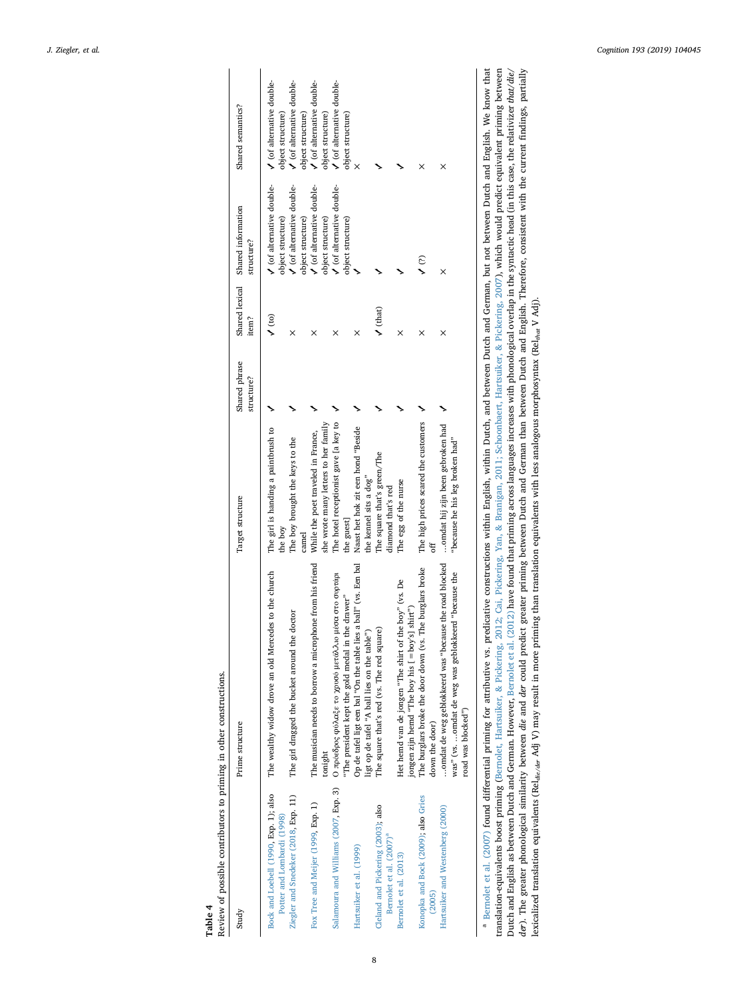Review of possible contributors to priming in other constructions. Review of possible contributors to priming in other constructions. **Table 4**

<span id="page-7-0"></span>

| Study                                                                     | Prime structure                                                                                                                     | Target structure                                                           | Shared phrase<br>structure? | item?                | Shared lexical Shared information<br>structure?        | Shared semantics?                                      |
|---------------------------------------------------------------------------|-------------------------------------------------------------------------------------------------------------------------------------|----------------------------------------------------------------------------|-----------------------------|----------------------|--------------------------------------------------------|--------------------------------------------------------|
| Bock and Loebell (1990, Exp. 1); also<br>Potter and Lombardi (1998)       | The wealthy widow drove an old Mercedes to the church                                                                               | The girl is handing a paintbrush to<br>the boy                             |                             | (10)                 | $\prime$ (of alternative double-<br>object structure)  | $\bigvee$ (of alternative double-<br>object structure) |
| Ziegler and Snedeker (2018, Exp. 11)                                      | The girl dragged the bucket around the doctor                                                                                       | The boy brought the keys to the<br>camel                                   |                             | ×                    | $\prime$ (of alternative double-<br>object structure)  | $\prime$ (of alternative double-<br>object structure)  |
| Fox Tree and Meijer (1999, Exp. 1)                                        | The musician needs to borrow a microphone from his friend<br>tonight                                                                | she wrote many letters to her family<br>While the poet traveled in France, |                             | $\times$             | $\bigvee$ (of alternative double-<br>object structure) | $\bigvee$ (of alternative double-<br>object structure) |
| Salamoura and Williams (2007, Exp. 3)                                     | Ο πρόεδρος φύλαξε το χρυσό μετάλλιο μέσα στο συρτάρι<br>"The president kept the gold medal in the drawer"                           | The hotel receptionist gave [a key to<br>the guest]                        |                             | ×                    | $\rlap /$ (of alternative double-<br>object structure) | $\bigvee$ (of alternative double-<br>object structure) |
| Hartsuiker et al. (1999)                                                  | Op de tafel ligt een bal "On the table lies a ball" (vs. Een bal<br>ligt op de tafel "A ball lies on the table")                    | Naast het hok zit een hond "Beside<br>the kennel sits a dog"               |                             | ×                    |                                                        |                                                        |
| Cleland and Pickering (2003); also<br>Bernolet et al. (2007) <sup>ª</sup> | The square that's red (vs. The red square)                                                                                          | The square that's green/The<br>diamond that's red                          |                             | $\sqrt{\frac{t}{t}}$ |                                                        |                                                        |
| Bernolet et al. (2013)                                                    | Het hemd van de jongen "The shirt of the boy" (vs. De<br>shirt")<br>jongen zijn hemd "The boy his [ = boy's]                        | The egg of the nurse                                                       |                             | ×                    |                                                        |                                                        |
| Konopka and Bock (2009); also Gries<br>(2005)                             | The burglars broke the door down (vs. The burglars broke<br>down the door)                                                          | The high prices scared the customers<br>ъ                                  |                             | ×                    | (2)                                                    | ×                                                      |
| Hartsuiker and Westenberg (2000)                                          | omdat de weg geblokkeerd was "because the road blocked<br>was" (vs. omdat de weg was geblokkeerd "because the<br>road was blocked") | omdat hij zijn been gebroken had<br>"because he his leg broken had"        |                             | ×                    | $\times$                                               | ×                                                      |
|                                                                           |                                                                                                                                     |                                                                            |                             |                      |                                                        |                                                        |

8

<span id="page-7-1"></span><sup>a</sup> Bernolet et al. (2007) found differential priming for attributive vs. predicative constructions within English, within Dutch, and between Dutch and German, but not between Dutch and English. We know that translation-equivalents boost priming (Bernolet, Hartsuiker, & Pickering, 2012; Cai, Pickering, Yan, & Branigan, 2011; Schoonbaert, Hartsuiker, & Pickering, 2007), which would predict equivalent priming between der). The greater phonological similarity between die and der could predict greater priming between Dutch and German than between Dutch and English. Therefore, consistent with the current findings, partially lexicalized tr Dutch and English as between Dutch and German. However, Bernolet et al. (2012) have found that priming across languages increases with phonological overlap in the syntactic head (in this case, the relativizer that/die/ <sup>a</sup> [Bernolet](#page-10-9) et al. (2007) found differential priming for attributive vs. predicative constructions within English, within Dutch, and between Dutch and German, but not between Dutch and English. We know that translation-equivalents boost priming (Bernolet, Hartsuiker, & Pickering, 2012; Cai, Pickering, Yan, & Branigan, 2011; [Schoonbaert,](#page-10-11) Hartsuiker, & Pickering, 2007), which would predict equivalent priming between Dutch and English as between Dutch and German. However, Bemolet et al. (2012) have found that priming across languages increases with phonological overlap in the syntactic head (in this case, the relativizer *that/die/* der). The greater phonological similarity between die and der could predict greater priming between Dutch and German than between Dutch and English. Therefore, consistent with the current findings, partially lexicalized translation equivalents (Rel*die*/*der* Adj V) may result in more priming than translation equivalents with less analogous morphosyntax (Rel*that* V Adj).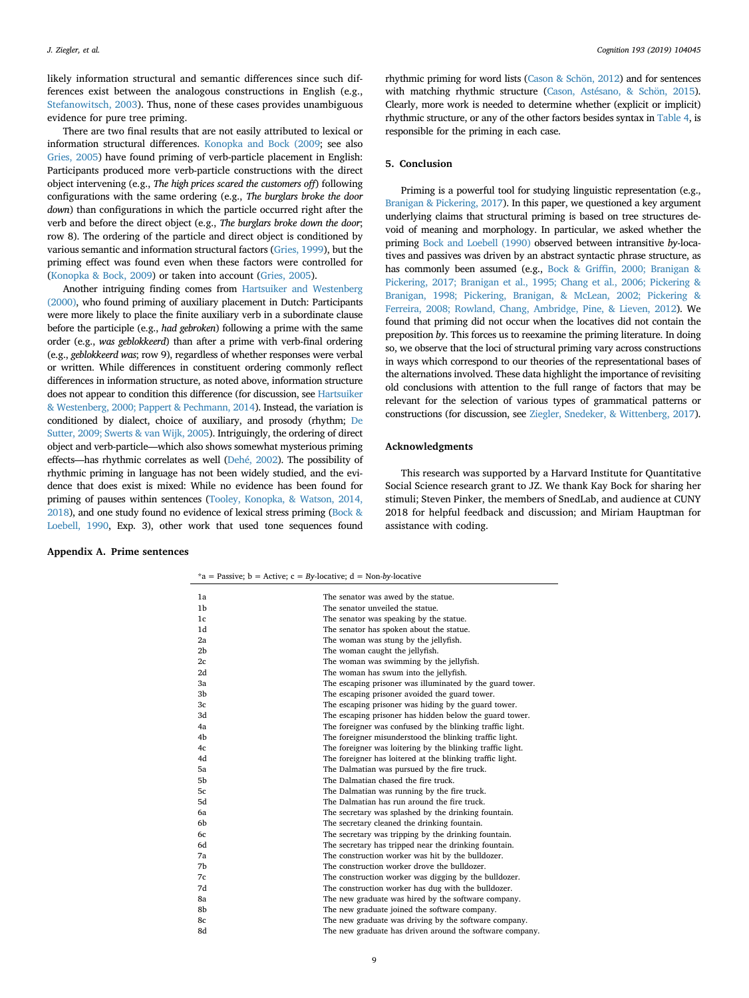likely information structural and semantic differences since such differences exist between the analogous constructions in English (e.g., [Stefanowitsch, 2003](#page-12-8)). Thus, none of these cases provides unambiguous evidence for pure tree priming.

There are two final results that are not easily attributed to lexical or information structural differences. [Konopka and Bock \(2009;](#page-11-38) see also [Gries, 2005](#page-11-39)) have found priming of verb-particle placement in English: Participants produced more verb-particle constructions with the direct object intervening (e.g., *The high prices scared the customers off*) following configurations with the same ordering (e.g., *The burglars broke the door down*) than configurations in which the particle occurred right after the verb and before the direct object (e.g., *The burglars broke down the door*; row 8). The ordering of the particle and direct object is conditioned by various semantic and information structural factors [\(Gries, 1999](#page-11-41)), but the priming effect was found even when these factors were controlled for ([Konopka & Bock, 2009](#page-11-38)) or taken into account [\(Gries, 2005](#page-11-39)).

Another intriguing finding comes from [Hartsuiker and Westenberg](#page-11-40) [\(2000\),](#page-11-40) who found priming of auxiliary placement in Dutch: Participants were more likely to place the finite auxiliary verb in a subordinate clause before the participle (e.g., *had gebroken*) following a prime with the same order (e.g., *was geblokkeerd*) than after a prime with verb-final ordering (e.g., *geblokkeerd was*; row 9), regardless of whether responses were verbal or written. While differences in constituent ordering commonly reflect differences in information structure, as noted above, information structure does not appear to condition this difference (for discussion, see [Hartsuiker](#page-11-40) [& Westenberg, 2000; Pappert & Pechmann, 2014\)](#page-11-40). Instead, the variation is conditioned by dialect, choice of auxiliary, and prosody (rhythm; [De](#page-11-42) [Sutter, 2009; Swerts & van Wijk, 2005](#page-11-42)). Intriguingly, the ordering of direct object and verb-particle—which also shows somewhat mysterious priming effects—has rhythmic correlates as well [\(Dehé, 2002\)](#page-11-37). The possibility of rhythmic priming in language has not been widely studied, and the evidence that does exist is mixed: While no evidence has been found for priming of pauses within sentences [\(Tooley, Konopka, & Watson, 2014,](#page-12-9) [2018\)](#page-12-9), and one study found no evidence of lexical stress priming [\(Bock &](#page-10-1) [Loebell, 1990](#page-10-1), Exp. 3), other work that used tone sequences found

# **Appendix A. Prime sentences**

rhythmic priming for word lists ([Cason & Schön, 2012\)](#page-11-43) and for sentences with matching rhythmic structure [\(Cason, Astésano, & Schön, 2015\)](#page-11-44). Clearly, more work is needed to determine whether (explicit or implicit) rhythmic structure, or any of the other factors besides syntax in [Table 4](#page-7-0), is responsible for the priming in each case.

## **5. Conclusion**

Priming is a powerful tool for studying linguistic representation (e.g., [Branigan & Pickering, 2017\)](#page-11-45). In this paper, we questioned a key argument underlying claims that structural priming is based on tree structures devoid of meaning and morphology. In particular, we asked whether the priming [Bock and Loebell \(1990\)](#page-10-1) observed between intransitive *by*-locatives and passives was driven by an abstract syntactic phrase structure, as has commonly been assumed (e.g., [Bock & Griffin, 2000; Branigan &](#page-10-12) [Pickering, 2017; Branigan et al., 1995; Chang et al., 2006; Pickering &](#page-10-12) [Branigan, 1998; Pickering, Branigan, & McLean, 2002; Pickering &](#page-10-12) [Ferreira, 2008; Rowland, Chang, Ambridge, Pine, & Lieven, 2012](#page-10-12)). We found that priming did not occur when the locatives did not contain the preposition *by*. This forces us to reexamine the priming literature. In doing so, we observe that the loci of structural priming vary across constructions in ways which correspond to our theories of the representational bases of the alternations involved. These data highlight the importance of revisiting old conclusions with attention to the full range of factors that may be relevant for the selection of various types of grammatical patterns or constructions (for discussion, see [Ziegler, Snedeker, & Wittenberg, 2017\)](#page-12-10).

#### **Acknowledgments**

This research was supported by a Harvard Institute for Quantitative Social Science research grant to JZ. We thank Kay Bock for sharing her stimuli; Steven Pinker, the members of SnedLab, and audience at CUNY 2018 for helpful feedback and discussion; and Miriam Hauptman for assistance with coding.

| 1a             | The senator was awed by the statue.                        |
|----------------|------------------------------------------------------------|
| 1 <sub>b</sub> | The senator unveiled the statue.                           |
| 1 <sub>c</sub> | The senator was speaking by the statue.                    |
| 1d             | The senator has spoken about the statue.                   |
| 2a             | The woman was stung by the jellyfish.                      |
| 2 <sub>b</sub> | The woman caught the jellyfish.                            |
| 2c             | The woman was swimming by the jellyfish.                   |
| 2d             | The woman has swum into the jellyfish.                     |
| 3a             | The escaping prisoner was illuminated by the guard tower.  |
| 3b             | The escaping prisoner avoided the guard tower.             |
| 3c             | The escaping prisoner was hiding by the guard tower.       |
| 3d             | The escaping prisoner has hidden below the guard tower.    |
| 4a             | The foreigner was confused by the blinking traffic light.  |
| 4b             | The foreigner misunderstood the blinking traffic light.    |
| 4c             | The foreigner was loitering by the blinking traffic light. |
| 4d             | The foreigner has loitered at the blinking traffic light.  |
| 5a             | The Dalmatian was pursued by the fire truck.               |
| 5b             | The Dalmatian chased the fire truck.                       |
| 5c             | The Dalmatian was running by the fire truck.               |
| 5d             | The Dalmatian has run around the fire truck.               |
| 6a             | The secretary was splashed by the drinking fountain.       |
| 6b             | The secretary cleaned the drinking fountain.               |
| 6c             | The secretary was tripping by the drinking fountain.       |
| 6d             | The secretary has tripped near the drinking fountain.      |
| 7a             | The construction worker was hit by the bulldozer.          |
| 7b             | The construction worker drove the bulldozer.               |
| 7c             | The construction worker was digging by the bulldozer.      |
| 7d             | The construction worker has dug with the bulldozer.        |
| 8a             | The new graduate was hired by the software company.        |
| 8b             | The new graduate joined the software company.              |
| 8c             | The new graduate was driving by the software company.      |
| 8d             | The new graduate has driven around the software company.   |
|                |                                                            |

\*a = Passive; b = Active; c = *By*-locative; d = Non-*by*-locative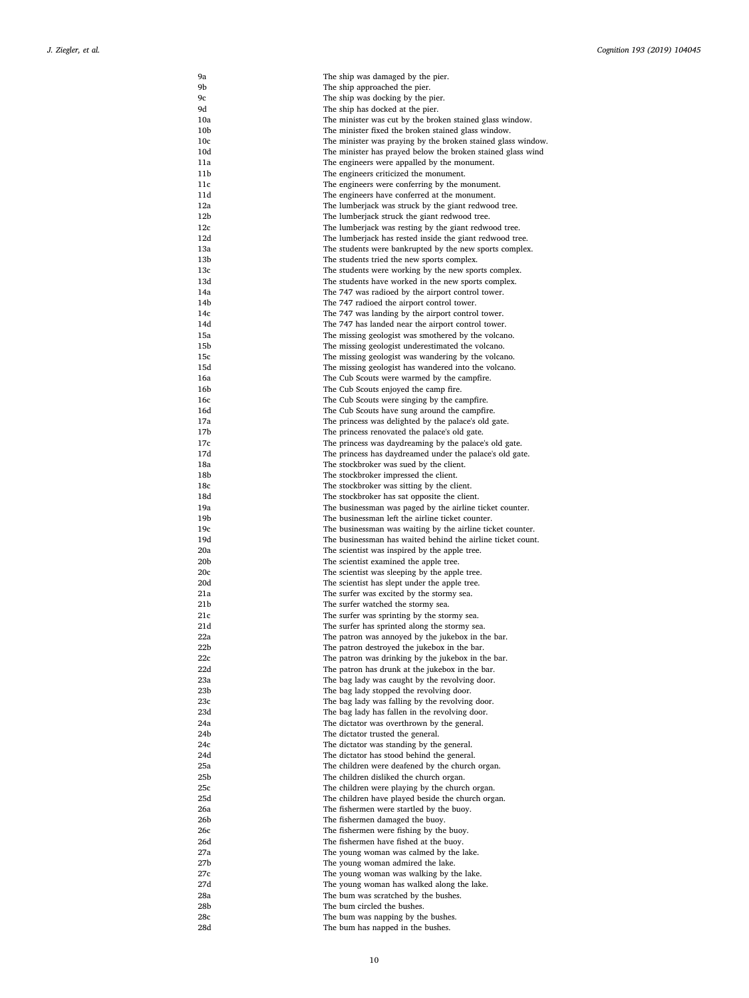| 9а              | The ship was damaged by the pier.                                                                                           |
|-----------------|-----------------------------------------------------------------------------------------------------------------------------|
| 9b              | The ship approached the pier.                                                                                               |
| 9с              | The ship was docking by the pier.                                                                                           |
| 9d              | The ship has docked at the pier.                                                                                            |
| 10a             | The minister was cut by the broken stained glass window.                                                                    |
| 10 <sub>b</sub> | The minister fixed the broken stained glass window.                                                                         |
| 10c<br>10d      | The minister was praying by the broken stained glass window.<br>The minister has prayed below the broken stained glass wind |
| 11a             | The engineers were appalled by the monument.                                                                                |
| 11b             | The engineers criticized the monument.                                                                                      |
| 11c             | The engineers were conferring by the monument.                                                                              |
| 11d             | The engineers have conferred at the monument.                                                                               |
| 12a             | The lumberjack was struck by the giant redwood tree.                                                                        |
| 12b             | The lumberjack struck the giant redwood tree.                                                                               |
| 12c             | The lumberjack was resting by the giant redwood tree.                                                                       |
| 12d             | The lumberjack has rested inside the giant redwood tree.                                                                    |
| 13a<br>13b      | The students were bankrupted by the new sports complex.<br>The students tried the new sports complex.                       |
| 13c             | The students were working by the new sports complex.                                                                        |
| 13d             | The students have worked in the new sports complex.                                                                         |
| 14a             | The 747 was radioed by the airport control tower.                                                                           |
| 14b             | The 747 radioed the airport control tower.                                                                                  |
| 14c             | The 747 was landing by the airport control tower.                                                                           |
| 14d             | The 747 has landed near the airport control tower.                                                                          |
| 15a             | The missing geologist was smothered by the volcano.                                                                         |
| 15b             | The missing geologist underestimated the volcano.                                                                           |
| 15c<br>15d      | The missing geologist was wandering by the volcano.<br>The missing geologist has wandered into the volcano.                 |
| 16a             | The Cub Scouts were warmed by the campfire.                                                                                 |
| 16b             | The Cub Scouts enjoyed the camp fire.                                                                                       |
| 16c             | The Cub Scouts were singing by the campfire.                                                                                |
| 16d             | The Cub Scouts have sung around the campfire.                                                                               |
| 17a             | The princess was delighted by the palace's old gate.                                                                        |
| 17b             | The princess renovated the palace's old gate.                                                                               |
| 17c             | The princess was daydreaming by the palace's old gate.                                                                      |
| 17d             | The princess has daydreamed under the palace's old gate.                                                                    |
| 18a<br>18b      | The stockbroker was sued by the client.<br>The stockbroker impressed the client.                                            |
| 18c             | The stockbroker was sitting by the client.                                                                                  |
| 18d             | The stockbroker has sat opposite the client.                                                                                |
| 19a             | The businessman was paged by the airline ticket counter.                                                                    |
| 19b             | The businessman left the airline ticket counter.                                                                            |
| 19c             | The businessman was waiting by the airline ticket counter.                                                                  |
| 19d             | The businessman has waited behind the airline ticket count.                                                                 |
| 20a             | The scientist was inspired by the apple tree.                                                                               |
| 20b<br>20c      | The scientist examined the apple tree.                                                                                      |
| 20d             | The scientist was sleeping by the apple tree.<br>The scientist has slept under the apple tree.                              |
| 21a             | The surfer was excited by the stormy sea.                                                                                   |
| 21 b            | The surfer watched the stormy sea.                                                                                          |
| 21 c            | The surfer was sprinting by the stormy sea.                                                                                 |
| 21d             | The surfer has sprinted along the stormy sea.                                                                               |
| 22a             | The patron was annoyed by the jukebox in the bar.                                                                           |
| 22b             | The patron destroyed the jukebox in the bar.                                                                                |
| 22c<br>22d      | The patron was drinking by the jukebox in the bar.                                                                          |
| 23а             | The patron has drunk at the jukebox in the bar.<br>The bag lady was caught by the revolving door.                           |
| 23b             | The bag lady stopped the revolving door.                                                                                    |
| 23с             | The bag lady was falling by the revolving door.                                                                             |
| 23d             | The bag lady has fallen in the revolving door.                                                                              |
| 24a             | The dictator was overthrown by the general.                                                                                 |
| 24b             | The dictator trusted the general.                                                                                           |
| 24c             | The dictator was standing by the general.                                                                                   |
| 24d             | The dictator has stood behind the general.                                                                                  |
| 25a             | The children were deafened by the church organ.                                                                             |
| 25b<br>25c      | The children disliked the church organ.<br>The children were playing by the church organ.                                   |
| 25d             | The children have played beside the church organ.                                                                           |
| 26a             | The fishermen were startled by the buoy.                                                                                    |
| 26b             | The fishermen damaged the buoy.                                                                                             |
| 26с             | The fishermen were fishing by the buoy.                                                                                     |
| 26d             | The fishermen have fished at the buoy.                                                                                      |
| 27a             | The young woman was calmed by the lake.                                                                                     |
| 27b             | The young woman admired the lake.                                                                                           |
| 27c             | The young woman was walking by the lake.                                                                                    |
| 27d             | The young woman has walked along the lake.                                                                                  |
| 28a<br>28b      | The bum was scratched by the bushes.<br>The bum circled the bushes.                                                         |
| 28c             | The bum was napping by the bushes.                                                                                          |
| 28d             | The bum has napped in the bushes.                                                                                           |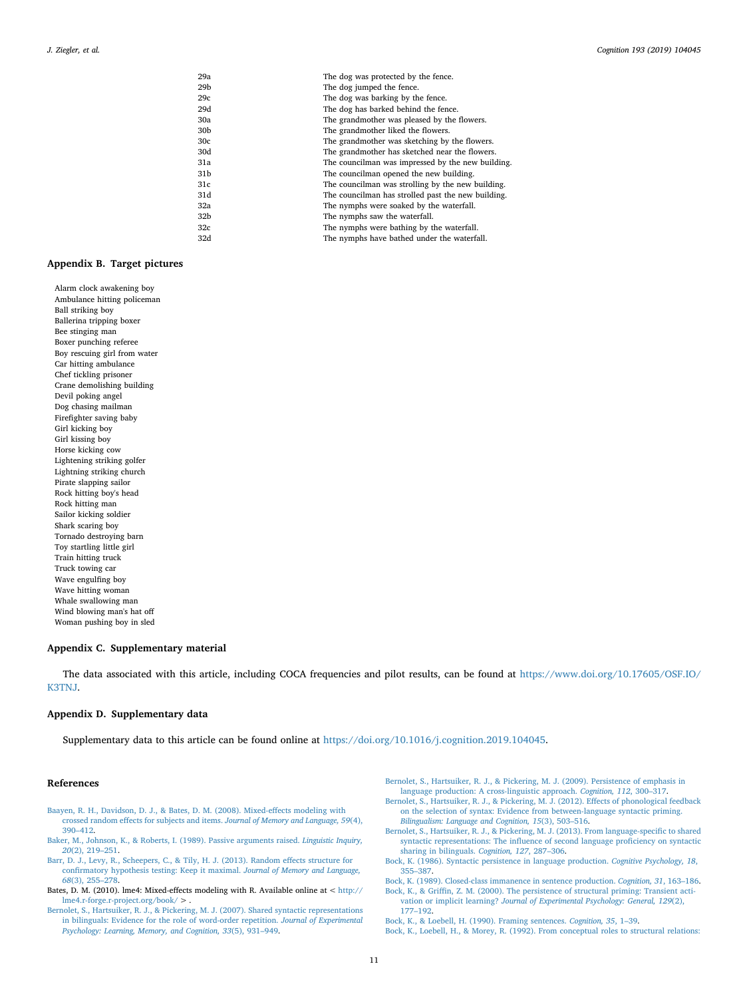| 29а | The dog was protected by the fence.                |
|-----|----------------------------------------------------|
| 29b | The dog jumped the fence.                          |
| 29c | The dog was barking by the fence.                  |
| 29d | The dog has barked behind the fence.               |
| 30a | The grandmother was pleased by the flowers.        |
| 30b | The grandmother liked the flowers.                 |
| 30c | The grandmother was sketching by the flowers.      |
| 30d | The grandmother has sketched near the flowers.     |
| 31a | The councilman was impressed by the new building.  |
| 31b | The councilman opened the new building.            |
| 31c | The councilman was strolling by the new building.  |
| 31d | The councilman has strolled past the new building. |
| 32a | The nymphs were soaked by the waterfall.           |
| 32b | The nymphs saw the waterfall.                      |
| 32c | The nymphs were bathing by the waterfall.          |
| 32d | The nymphs have bathed under the waterfall.        |
|     |                                                    |

# **Appendix B. Target pictures**

Alarm clock awakening boy Ambulance hitting policeman Ball striking boy Ballerina tripping boxer Bee stinging man Boxer punching referee Boy rescuing girl from water Car hitting ambulance Chef tickling prisoner Crane demolishing building Devil poking angel Dog chasing mailman Firefighter saving baby Girl kicking boy Girl kissing boy Horse kicking cow Lightening striking golfer Lightning striking church Pirate slapping sailor Rock hitting boy's head Rock hitting man Sailor kicking soldier Shark scaring boy Tornado destroying barn Toy startling little girl Train hitting truck Truck towing car Wave engulfing boy Wave hitting woman Whale swallowing man Wind blowing man's hat off Woman pushing boy in sled

#### **Appendix C. Supplementary material**

The data associated with this article, including COCA frequencies and pilot results, can be found at [https://www.doi.org/10.17605/OSF.IO/](https://www.doi.org/10.17605/OSF.IO/K3TNJ) [K3TNJ.](https://www.doi.org/10.17605/OSF.IO/K3TNJ)

# **Appendix D. Supplementary data**

Supplementary data to this article can be found online at [https://doi.org/10.1016/j.cognition.2019.104045.](https://doi.org/10.1016/j.cognition.2019.104045)

# **References**

- <span id="page-10-4"></span>[Baayen, R. H., Davidson, D. J., & Bates, D. M. \(2008\). Mixed-effects modeling with](http://refhub.elsevier.com/S0010-0277(19)30218-5/h0010) [crossed random effects for subjects and items.](http://refhub.elsevier.com/S0010-0277(19)30218-5/h0010) *Journal of Memory and Language, 59*(4), [390–412](http://refhub.elsevier.com/S0010-0277(19)30218-5/h0010).
- <span id="page-10-7"></span>[Baker, M., Johnson, K., & Roberts, I. \(1989\). Passive arguments raised.](http://refhub.elsevier.com/S0010-0277(19)30218-5/h0020) *Linguistic Inquiry, 20*[\(2\), 219–251.](http://refhub.elsevier.com/S0010-0277(19)30218-5/h0020)
- <span id="page-10-6"></span>[Barr, D. J., Levy, R., Scheepers, C., & Tily, H. J. \(2013\). Random effects structure for](http://refhub.elsevier.com/S0010-0277(19)30218-5/h0025) [confirmatory hypothesis testing: Keep it maximal.](http://refhub.elsevier.com/S0010-0277(19)30218-5/h0025) *Journal of Memory and Language, 68*[\(3\), 255–278.](http://refhub.elsevier.com/S0010-0277(19)30218-5/h0025)
- <span id="page-10-5"></span>Bates, D. M. (2010). lme4: Mixed-effects modeling with R. Available online at < [http://](http://lme4.r-forge.r-project.org/book/)  $\verb|lme4.r-forge.r-project.org/book/ > .$  $\verb|lme4.r-forge.r-project.org/book/ > .$  $\verb|lme4.r-forge.r-project.org/book/ > .$
- <span id="page-10-9"></span>[Bernolet, S., Hartsuiker, R. J., & Pickering, M. J. \(2007\). Shared syntactic representations](http://refhub.elsevier.com/S0010-0277(19)30218-5/h0040) [in bilinguals: Evidence for the role of word-order repetition.](http://refhub.elsevier.com/S0010-0277(19)30218-5/h0040) *Journal of Experimental [Psychology: Learning, Memory, and Cognition, 33](http://refhub.elsevier.com/S0010-0277(19)30218-5/h0040)*(5), 931–949.
- <span id="page-10-8"></span>[Bernolet, S., Hartsuiker, R. J., & Pickering, M. J. \(2009\). Persistence of emphasis in](http://refhub.elsevier.com/S0010-0277(19)30218-5/h0045) [language production: A cross-linguistic approach.](http://refhub.elsevier.com/S0010-0277(19)30218-5/h0045) *Cognition, 112*, 300–317.
- <span id="page-10-11"></span>[Bernolet, S., Hartsuiker, R. J., & Pickering, M. J. \(2012\). Effects of phonological feedback](http://refhub.elsevier.com/S0010-0277(19)30218-5/h0050) [on the selection of syntax: Evidence from between-language syntactic priming.](http://refhub.elsevier.com/S0010-0277(19)30218-5/h0050) *[Bilingualism: Language and Cognition, 15](http://refhub.elsevier.com/S0010-0277(19)30218-5/h0050)*(3), 503–516.
- <span id="page-10-10"></span>[Bernolet, S., Hartsuiker, R. J., & Pickering, M. J. \(2013\). From language-specific to shared](http://refhub.elsevier.com/S0010-0277(19)30218-5/h0055) [syntactic representations: The influence of second language proficiency on syntactic](http://refhub.elsevier.com/S0010-0277(19)30218-5/h0055) [sharing in bilinguals.](http://refhub.elsevier.com/S0010-0277(19)30218-5/h0055) *Cognition, 127*, 287–306.
- <span id="page-10-0"></span>[Bock, K. \(1986\). Syntactic persistence in language production.](http://refhub.elsevier.com/S0010-0277(19)30218-5/h0060) *Cognitive Psychology, 18*, [355–387](http://refhub.elsevier.com/S0010-0277(19)30218-5/h0060).

<span id="page-10-2"></span>[Bock, K. \(1989\). Closed-class immanence in sentence production.](http://refhub.elsevier.com/S0010-0277(19)30218-5/h0065) *Cognition, 31*, 163–186.

<span id="page-10-12"></span>[Bock, K., & Griffin, Z. M. \(2000\). The persistence of structural priming: Transient acti](http://refhub.elsevier.com/S0010-0277(19)30218-5/h0070)vation or implicit learning? *[Journal of Experimental Psychology: General, 129](http://refhub.elsevier.com/S0010-0277(19)30218-5/h0070)*(2), [177–192](http://refhub.elsevier.com/S0010-0277(19)30218-5/h0070).

<span id="page-10-1"></span>[Bock, K., & Loebell, H. \(1990\). Framing sentences.](http://refhub.elsevier.com/S0010-0277(19)30218-5/h0075) *Cognition, 35*, 1–39.

<span id="page-10-3"></span>[Bock, K., Loebell, H., & Morey, R. \(1992\). From conceptual roles to structural relations:](http://refhub.elsevier.com/S0010-0277(19)30218-5/h0080)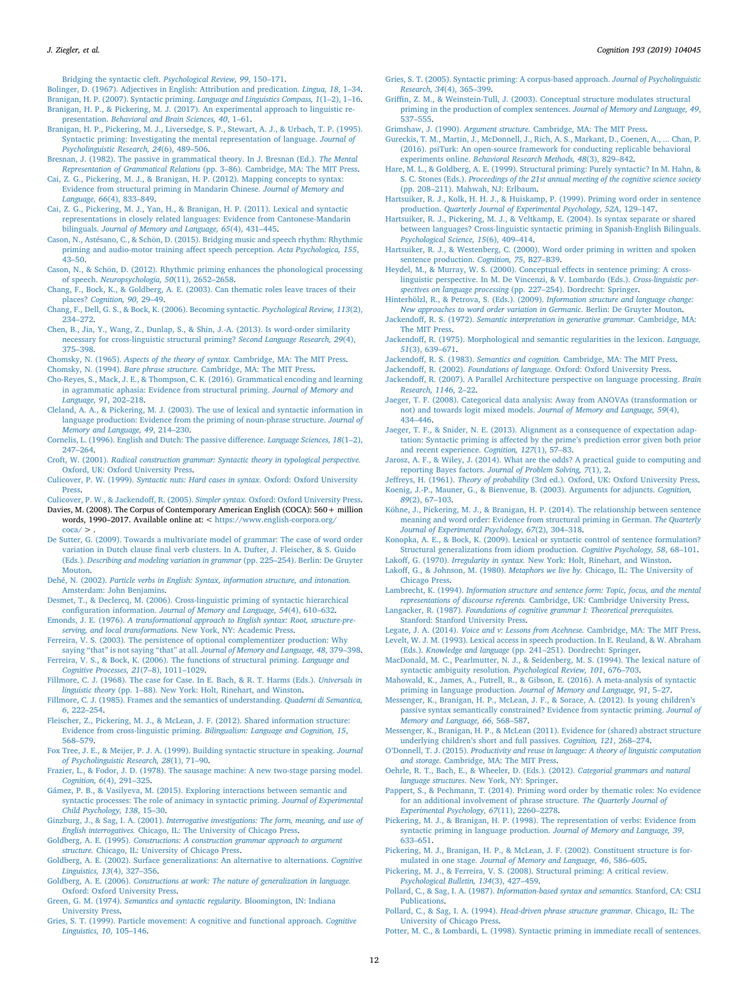[Bridging the syntactic cleft.](http://refhub.elsevier.com/S0010-0277(19)30218-5/h0080) *Psychological Review, 99*, 150–171.

<span id="page-11-34"></span><span id="page-11-2"></span>[Bolinger, D. \(1967\). Adjectives in English: Attribution and predication.](http://refhub.elsevier.com/S0010-0277(19)30218-5/h0085) *Lingua, 18*, 1–34. [Branigan, H. P. \(2007\). Syntactic priming.](http://refhub.elsevier.com/S0010-0277(19)30218-5/h0090) *Language and Linguistics Compass, 1*(1–2), 1–16.

- <span id="page-11-45"></span>[Branigan, H. P., & Pickering, M. J. \(2017\). An experimental approach to linguistic re](http://refhub.elsevier.com/S0010-0277(19)30218-5/h0095)presentation. *[Behavioral and Brain Sciences, 40](http://refhub.elsevier.com/S0010-0277(19)30218-5/h0095)*, 1–61.
- [Branigan, H. P., Pickering, M. J., Liversedge, S. P., Stewart, A. J., & Urbach, T. P. \(1995\).](http://refhub.elsevier.com/S0010-0277(19)30218-5/h0100) [Syntactic priming: Investigating the mental representation of language.](http://refhub.elsevier.com/S0010-0277(19)30218-5/h0100) *Journal of [Psycholinguistic Research, 24](http://refhub.elsevier.com/S0010-0277(19)30218-5/h0100)*(6), 489–506.
- <span id="page-11-23"></span>[Bresnan, J. \(1982\). The passive in grammatical theory. In J. Bresnan \(Ed.\).](http://refhub.elsevier.com/S0010-0277(19)30218-5/h0110) *The Mental Representation of Grammatical Relations* [\(pp. 3–86\). Cambridge, MA: The MIT Press](http://refhub.elsevier.com/S0010-0277(19)30218-5/h0110).
- <span id="page-11-10"></span>[Cai, Z. G., Pickering, M. J., & Branigan, H. P. \(2012\). Mapping concepts to syntax:](http://refhub.elsevier.com/S0010-0277(19)30218-5/h0120) [Evidence from structural priming in Mandarin Chinese.](http://refhub.elsevier.com/S0010-0277(19)30218-5/h0120) *Journal of Memory and Language, 66*[\(4\), 833–849.](http://refhub.elsevier.com/S0010-0277(19)30218-5/h0120)
- [Cai, Z. G., Pickering, M. J., Yan, H., & Branigan, H. P. \(2011\). Lexical and syntactic](http://refhub.elsevier.com/S0010-0277(19)30218-5/h0125) [representations in closely related languages: Evidence from Cantonese-Mandarin](http://refhub.elsevier.com/S0010-0277(19)30218-5/h0125) bilinguals. *[Journal of Memory and Language, 65](http://refhub.elsevier.com/S0010-0277(19)30218-5/h0125)*(4), 431–445.
- <span id="page-11-44"></span>[Cason, N., Astésano, C., & Schön, D. \(2015\). Bridging music and speech rhythm: Rhythmic](http://refhub.elsevier.com/S0010-0277(19)30218-5/h0130) [priming and audio-motor training affect speech perception.](http://refhub.elsevier.com/S0010-0277(19)30218-5/h0130) *Acta Psychologica, 155*,  $43 - 50.$
- <span id="page-11-43"></span>[Cason, N., & Schön, D. \(2012\). Rhythmic priming enhances the phonological processing](http://refhub.elsevier.com/S0010-0277(19)30218-5/h0135) of speech. *[Neuropsychologia, 50](http://refhub.elsevier.com/S0010-0277(19)30218-5/h0135)*(11), 2652–2658.
- <span id="page-11-7"></span>[Chang, F., Bock, K., & Goldberg, A. E. \(2003\). Can thematic roles leave traces of their](http://refhub.elsevier.com/S0010-0277(19)30218-5/h0140) places? *[Cognition, 90](http://refhub.elsevier.com/S0010-0277(19)30218-5/h0140)*, 29–49.
- [Chang, F., Dell, G. S., & Bock, K. \(2006\). Becoming syntactic.](http://refhub.elsevier.com/S0010-0277(19)30218-5/h0145) *Psychological Review, 113*(2), [234–272](http://refhub.elsevier.com/S0010-0277(19)30218-5/h0145).
- <span id="page-11-27"></span>[Chen, B., Jia, Y., Wang, Z., Dunlap, S., & Shin, J.-A. \(2013\). Is word-order similarity](http://refhub.elsevier.com/S0010-0277(19)30218-5/h0150) [necessary for cross-linguistic structural priming?](http://refhub.elsevier.com/S0010-0277(19)30218-5/h0150) *Second Language Research, 29*(4), [375–398](http://refhub.elsevier.com/S0010-0277(19)30218-5/h0150).
- <span id="page-11-1"></span>Chomsky, N. (1965). *Aspects of the theory of syntax.* [Cambridge, MA: The MIT Press](http://refhub.elsevier.com/S0010-0277(19)30218-5/h0160).
- <span id="page-11-0"></span>Chomsky, N. (1994). *Bare phrase structure.* [Cambridge, MA: The MIT Press](http://refhub.elsevier.com/S0010-0277(19)30218-5/h0165).
- [Cho-Reyes, S., Mack, J. E., & Thompson, C. K. \(2016\). Grammatical encoding and learning](http://refhub.elsevier.com/S0010-0277(19)30218-5/h0170) [in agrammatic aphasia: Evidence from structural priming.](http://refhub.elsevier.com/S0010-0277(19)30218-5/h0170) *Journal of Memory and [Language, 91](http://refhub.elsevier.com/S0010-0277(19)30218-5/h0170)*, 202–218.
- <span id="page-11-3"></span>[Cleland, A. A., & Pickering, M. J. \(2003\). The use of lexical and syntactic information in](http://refhub.elsevier.com/S0010-0277(19)30218-5/h0175) [language production: Evidence from the priming of noun-phrase structure.](http://refhub.elsevier.com/S0010-0277(19)30218-5/h0175) *Journal of [Memory and Language, 49](http://refhub.elsevier.com/S0010-0277(19)30218-5/h0175)*, 214–230.
- <span id="page-11-36"></span>[Cornelis, L. \(1996\). English and Dutch: The passive difference.](http://refhub.elsevier.com/S0010-0277(19)30218-5/h0180) *Language Sciences, 18*(1–2), [247–264](http://refhub.elsevier.com/S0010-0277(19)30218-5/h0180).
- <span id="page-11-20"></span>Croft, W. (2001). *[Radical construction grammar: Syntactic theory in typological perspective.](http://refhub.elsevier.com/S0010-0277(19)30218-5/h0185)* [Oxford, UK: Oxford University Press.](http://refhub.elsevier.com/S0010-0277(19)30218-5/h0185)
- Culicover, P. W. (1999). *[Syntactic nuts: Hard cases in syntax.](http://refhub.elsevier.com/S0010-0277(19)30218-5/h0190)* Oxford: Oxford University [Press.](http://refhub.elsevier.com/S0010-0277(19)30218-5/h0190)

<span id="page-11-22"></span>[Culicover, P. W., & Jackendoff, R. \(2005\).](http://refhub.elsevier.com/S0010-0277(19)30218-5/h0195) *Simpler syntax.* Oxford: Oxford University Press.

- <span id="page-11-16"></span>Davies, M. (2008). The Corpus of Contemporary American English (COCA): 560+ million words, 1990–2017. Available online at: < [https://www.english-corpora.org/](https://www.english-corpora.org/coca/)  $\frac{\text{coca}}{2}$
- <span id="page-11-42"></span>[De Sutter, G. \(2009\). Towards a multivariate model of grammar: The case of word order](http://refhub.elsevier.com/S0010-0277(19)30218-5/h0210) [variation in Dutch clause final verb clusters. In A. Dufter, J. Fleischer, & S. Guido](http://refhub.elsevier.com/S0010-0277(19)30218-5/h0210) (Eds.). *[Describing and modeling variation in grammar](http://refhub.elsevier.com/S0010-0277(19)30218-5/h0210)* (pp. 225–254). Berlin: De Gruyter [Mouton](http://refhub.elsevier.com/S0010-0277(19)30218-5/h0210).
- <span id="page-11-37"></span>Dehé, N. (2002). *[Particle verbs in English: Syntax, information structure, and intonation.](http://refhub.elsevier.com/S0010-0277(19)30218-5/h0215)* [Amsterdam: John Benjamins.](http://refhub.elsevier.com/S0010-0277(19)30218-5/h0215)
- <span id="page-11-5"></span>[Desmet, T., & Declercq, M. \(2006\). Cross-linguistic priming of syntactic hierarchical](http://refhub.elsevier.com/S0010-0277(19)30218-5/h0220) configuration information. *[Journal of Memory and Language, 54](http://refhub.elsevier.com/S0010-0277(19)30218-5/h0220)*(4), 610–632.
- <span id="page-11-4"></span>Emonds, J. E. (1976). *[A transformational approach to English syntax: Root, structure-pre](http://refhub.elsevier.com/S0010-0277(19)30218-5/h0225)[serving, and local transformations.](http://refhub.elsevier.com/S0010-0277(19)30218-5/h0225)* New York, NY: Academic Press.
- <span id="page-11-21"></span>[Ferreira, V. S. \(2003\). The persistence of optional complementizer production: Why](http://refhub.elsevier.com/S0010-0277(19)30218-5/h0230) [saying "that" is not saying "that" at all.](http://refhub.elsevier.com/S0010-0277(19)30218-5/h0230) *Journal of Memory and Language, 48*, 379–398.
- [Ferreira, V. S., & Bock, K. \(2006\). The functions of structural priming.](http://refhub.elsevier.com/S0010-0277(19)30218-5/h0235) *Language and [Cognitive Processes, 21](http://refhub.elsevier.com/S0010-0277(19)30218-5/h0235)*(7–8), 1011–1029.
- [Fillmore, C. J. \(1968\). The case for Case. In E. Bach, & R. T. Harms \(Eds.\).](http://refhub.elsevier.com/S0010-0277(19)30218-5/h0240) *Universals in linguistic theory* [\(pp. 1–88\). New York: Holt, Rinehart, and Winston](http://refhub.elsevier.com/S0010-0277(19)30218-5/h0240).
- [Fillmore, C. J. \(1985\). Frames and the semantics of understanding.](http://refhub.elsevier.com/S0010-0277(19)30218-5/h0245) *Quaderni di Semantica, 6*[, 222–254.](http://refhub.elsevier.com/S0010-0277(19)30218-5/h0245)
- [Fleischer, Z., Pickering, M. J., & McLean, J. F. \(2012\). Shared information structure:](http://refhub.elsevier.com/S0010-0277(19)30218-5/h0250) Evidence from cross-linguistic priming. *[Bilingualism: Language and Cognition, 15](http://refhub.elsevier.com/S0010-0277(19)30218-5/h0250)*, [568–579](http://refhub.elsevier.com/S0010-0277(19)30218-5/h0250).
- <span id="page-11-31"></span>[Fox Tree, J. E., & Meijer, P. J. A. \(1999\). Building syntactic structure in speaking.](http://refhub.elsevier.com/S0010-0277(19)30218-5/h0260) *Journal [of Psycholinguistic Research, 28](http://refhub.elsevier.com/S0010-0277(19)30218-5/h0260)*(1), 71–90.
- [Frazier, L., & Fodor, J. D. \(1978\). The sausage machine: A new two-stage parsing model.](http://refhub.elsevier.com/S0010-0277(19)30218-5/h0265) *Cognition, 6*[\(4\), 291–325](http://refhub.elsevier.com/S0010-0277(19)30218-5/h0265).
- <span id="page-11-14"></span>[Gámez, P. B., & Vasilyeva, M. \(2015\). Exploring interactions between semantic and](http://refhub.elsevier.com/S0010-0277(19)30218-5/h0270) [syntactic processes: The role of animacy in syntactic priming.](http://refhub.elsevier.com/S0010-0277(19)30218-5/h0270) *Journal of Experimental [Child Psychology, 138](http://refhub.elsevier.com/S0010-0277(19)30218-5/h0270)*, 15–30.
- Ginzburg, J., & Sag, I. A. (2001). *[Interrogative investigations: The form, meaning, and use of](http://refhub.elsevier.com/S0010-0277(19)30218-5/h0275) English interrogatives.* [Chicago, IL: The University of Chicago Press.](http://refhub.elsevier.com/S0010-0277(19)30218-5/h0275)
- Goldberg, A. E. (1995). *[Constructions: A construction grammar approach to argument](http://refhub.elsevier.com/S0010-0277(19)30218-5/h0285) structure.* [Chicago, IL: University of Chicago Press.](http://refhub.elsevier.com/S0010-0277(19)30218-5/h0285)
- <span id="page-11-9"></span>[Goldberg, A. E. \(2002\). Surface generalizations: An alternative to alternations.](http://refhub.elsevier.com/S0010-0277(19)30218-5/h0290) *Cognitive [Linguistics, 13](http://refhub.elsevier.com/S0010-0277(19)30218-5/h0290)*(4), 327–356.
- Goldberg, A. E. (2006). *[Constructions at work: The nature of generalization in language.](http://refhub.elsevier.com/S0010-0277(19)30218-5/h0295)* [Oxford: Oxford University Press](http://refhub.elsevier.com/S0010-0277(19)30218-5/h0295).
- Green, G. M. (1974). *[Semantics and syntactic regularity.](http://refhub.elsevier.com/S0010-0277(19)30218-5/h0300)* Bloomington, IN: Indiana [University Press](http://refhub.elsevier.com/S0010-0277(19)30218-5/h0300).
- <span id="page-11-41"></span>[Gries, S. T. \(1999\). Particle movement: A cognitive and functional approach.](http://refhub.elsevier.com/S0010-0277(19)30218-5/h0305) *Cognitive [Linguistics, 10](http://refhub.elsevier.com/S0010-0277(19)30218-5/h0305)*, 105–146.
- <span id="page-11-39"></span>[Gries, S. T. \(2005\). Syntactic priming: A corpus-based approach.](http://refhub.elsevier.com/S0010-0277(19)30218-5/h0310) *Journal of Psycholinguistic Research, 34*[\(4\), 365–399](http://refhub.elsevier.com/S0010-0277(19)30218-5/h0310).
- <span id="page-11-11"></span>[Griffin, Z. M., & Weinstein-Tull, J. \(2003\). Conceptual structure modulates structural](http://refhub.elsevier.com/S0010-0277(19)30218-5/h0315) [priming in the production of complex sentences.](http://refhub.elsevier.com/S0010-0277(19)30218-5/h0315) *Journal of Memory and Language, 49*, [537–555](http://refhub.elsevier.com/S0010-0277(19)30218-5/h0315).
- <span id="page-11-26"></span>Grimshaw, J. (1990). *Argument structure.* [Cambridge, MA: The MIT Press.](http://refhub.elsevier.com/S0010-0277(19)30218-5/h0320)
- <span id="page-11-15"></span>[Gureckis, T. M., Martin, J., McDonnell, J., Rich, A. S., Markant, D., Coenen, A., ... Chan, P.](http://refhub.elsevier.com/S0010-0277(19)30218-5/h0330) [\(2016\). psiTurk: An open-source framework for conducting replicable behavioral](http://refhub.elsevier.com/S0010-0277(19)30218-5/h0330) experiments online. *[Behavioral Research Methods, 48](http://refhub.elsevier.com/S0010-0277(19)30218-5/h0330)*(3), 829–842.
- <span id="page-11-6"></span>[Hare, M. L., & Goldberg, A. E. \(1999\). Structural priming: Purely syntactic? In M. Hahn, &](http://refhub.elsevier.com/S0010-0277(19)30218-5/h0335) S. C. Stones (Eds.). *[Proceedings of the 21st annual meeting of the cognitive science society](http://refhub.elsevier.com/S0010-0277(19)30218-5/h0335)* [\(pp. 208–211\). Mahwah, NJ: Erlbaum.](http://refhub.elsevier.com/S0010-0277(19)30218-5/h0335)
- <span id="page-11-32"></span>[Hartsuiker, R. J., Kolk, H. H. J., & Huiskamp, P. \(1999\). Priming word order in sentence](http://refhub.elsevier.com/S0010-0277(19)30218-5/h0345) production. *[Quarterly Journal of Experimental Psychology, 52A](http://refhub.elsevier.com/S0010-0277(19)30218-5/h0345)*, 129–147.
- <span id="page-11-28"></span>[Hartsuiker, R. J., Pickering, M. J., & Veltkamp, E. \(2004\). Is syntax separate or shared](http://refhub.elsevier.com/S0010-0277(19)30218-5/h0350) [between languages? Cross-linguistic syntactic priming in Spanish-English Bilinguals.](http://refhub.elsevier.com/S0010-0277(19)30218-5/h0350) *[Psychological Science, 15](http://refhub.elsevier.com/S0010-0277(19)30218-5/h0350)*(6), 409–414.
- <span id="page-11-40"></span>[Hartsuiker, R. J., & Westenberg, C. \(2000\). Word order priming in written and spoken](http://refhub.elsevier.com/S0010-0277(19)30218-5/h0355) [sentence production.](http://refhub.elsevier.com/S0010-0277(19)30218-5/h0355) *Cognition, 75*, B27–B39.
- [Heydel, M., & Murray, W. S. \(2000\). Conceptual effects in sentence priming: A cross](http://refhub.elsevier.com/S0010-0277(19)30218-5/h0360)[linguistic perspective. In M. De Vincenzi, & V. Lombardo \(Eds.\).](http://refhub.elsevier.com/S0010-0277(19)30218-5/h0360) *Cross-linguistic perspectives on language processing* [\(pp. 227–254\). Dordrecht: Springer](http://refhub.elsevier.com/S0010-0277(19)30218-5/h0360).
- <span id="page-11-33"></span>[Hinterhölzl, R., & Petrova, S. \(Eds.\). \(2009\).](http://refhub.elsevier.com/S0010-0277(19)30218-5/h0365) *Information structure and language change: [New approaches to word order variation in Germanic](http://refhub.elsevier.com/S0010-0277(19)30218-5/h0365)*. Berlin: De Gruyter Mouton.
- <span id="page-11-8"></span>Jackendoff, R. S. (1972). *[Semantic interpretation in generative grammar.](http://refhub.elsevier.com/S0010-0277(19)30218-5/h0370)* Cambridge, MA: [The MIT Press](http://refhub.elsevier.com/S0010-0277(19)30218-5/h0370).
- [Jackendoff, R. \(1975\). Morphological and semantic regularities in the lexicon.](http://refhub.elsevier.com/S0010-0277(19)30218-5/h0375) *Language, 51*[\(3\), 639–671.](http://refhub.elsevier.com/S0010-0277(19)30218-5/h0375)
- Jackendoff, R. S. (1983). *Semantics and cognition.* [Cambridge, MA: The MIT Press](http://refhub.elsevier.com/S0010-0277(19)30218-5/h0380).
- Jackendoff, R. (2002). *Foundations of language.* [Oxford: Oxford University Press](http://refhub.elsevier.com/S0010-0277(19)30218-5/h0390).
- [Jackendoff, R. \(2007\). A Parallel Architecture perspective on language processing.](http://refhub.elsevier.com/S0010-0277(19)30218-5/h0395) *Brain [Research, 1146](http://refhub.elsevier.com/S0010-0277(19)30218-5/h0395)*, 2–22.
- [Jaeger, T. F. \(2008\). Categorical data analysis: Away from ANOVAs \(transformation or](http://refhub.elsevier.com/S0010-0277(19)30218-5/h0400) [not\) and towards logit mixed models.](http://refhub.elsevier.com/S0010-0277(19)30218-5/h0400) *Journal of Memory and Language, 59*(4), [434–446](http://refhub.elsevier.com/S0010-0277(19)30218-5/h0400).
- <span id="page-11-17"></span>[Jaeger, T. F., & Snider, N. E. \(2013\). Alignment as a consequence of expectation adap](http://refhub.elsevier.com/S0010-0277(19)30218-5/h0405)[tation: Syntactic priming is affected by the prime's prediction error given both prior](http://refhub.elsevier.com/S0010-0277(19)30218-5/h0405) [and recent experience.](http://refhub.elsevier.com/S0010-0277(19)30218-5/h0405) *Cognition, 127*(1), 57–83.
- <span id="page-11-18"></span>[Jarosz, A. F., & Wiley, J. \(2014\). What are the odds? A practical guide to computing and](http://refhub.elsevier.com/S0010-0277(19)30218-5/h0410) reporting Bayes factors. *[Journal of Problem Solving, 7](http://refhub.elsevier.com/S0010-0277(19)30218-5/h0410)*(1), 2.
- <span id="page-11-25"></span><span id="page-11-19"></span>Jeffreys, H. (1961). *Theory of probability* [\(3rd ed.\). Oxford, UK: Oxford University Press](http://refhub.elsevier.com/S0010-0277(19)30218-5/h0682). [Koenig, J.-P., Mauner, G., & Bienvenue, B. \(2003\). Arguments for adjuncts.](http://refhub.elsevier.com/S0010-0277(19)30218-5/h0420) *Cognition,*

*89*[\(2\), 67–103](http://refhub.elsevier.com/S0010-0277(19)30218-5/h0420).

- [Köhne, J., Pickering, M. J., & Branigan, H. P. \(2014\). The relationship between sentence](http://refhub.elsevier.com/S0010-0277(19)30218-5/h0425) [meaning and word order: Evidence from structural priming in German.](http://refhub.elsevier.com/S0010-0277(19)30218-5/h0425) *The Quarterly [Journal of Experimental Psychology, 67](http://refhub.elsevier.com/S0010-0277(19)30218-5/h0425)*(2), 304–318.
- <span id="page-11-38"></span>[Konopka, A. E., & Bock, K. \(2009\). Lexical or syntactic control of sentence formulation?](http://refhub.elsevier.com/S0010-0277(19)30218-5/h0430) [Structural generalizations from idiom production.](http://refhub.elsevier.com/S0010-0277(19)30218-5/h0430) *Cognitive Psychology, 58*, 68–101.
- Lakoff, G. (1970). *Irregularity in syntax.* [New York: Holt, Rinehart, and Winston.](http://refhub.elsevier.com/S0010-0277(19)30218-5/h0440) [Lakoff, G., & Johnson, M. \(1980\).](http://refhub.elsevier.com/S0010-0277(19)30218-5/h0445) *Metaphors we live by.* Chicago, IL: The University of
- [Chicago Press.](http://refhub.elsevier.com/S0010-0277(19)30218-5/h0445) Lambrecht, K. (1994). *[Information structure and sentence form: Topic, focus, and the mental](http://refhub.elsevier.com/S0010-0277(19)30218-5/h0450)*
- <span id="page-11-29"></span>*representations of discourse referents.* [Cambridge, UK: Cambridge University Press](http://refhub.elsevier.com/S0010-0277(19)30218-5/h0450).
- Langacker, R. (1987). *[Foundations of cognitive grammar I: Theoretical prerequisites.](http://refhub.elsevier.com/S0010-0277(19)30218-5/h0455)* [Stanford: Stanford University Press](http://refhub.elsevier.com/S0010-0277(19)30218-5/h0455).
- <span id="page-11-24"></span>Legate, J. A. (2014). *[Voice and v: Lessons from Acehnese.](http://refhub.elsevier.com/S0010-0277(19)30218-5/h0460)* Cambridge, MA: The MIT Press. [Levelt, W. J. M. \(1993\). Lexical access in speech production. In E. Reuland, & W. Abraham](http://refhub.elsevier.com/S0010-0277(19)30218-5/h0465) (Eds.). *Knowledge and language* [\(pp. 241–251\). Dordrecht: Springer](http://refhub.elsevier.com/S0010-0277(19)30218-5/h0465).
- [MacDonald, M. C., Pearlmutter, N. J., & Seidenberg, M. S. \(1994\). The lexical nature of](http://refhub.elsevier.com/S0010-0277(19)30218-5/h0475) [syntactic ambiguity resolution.](http://refhub.elsevier.com/S0010-0277(19)30218-5/h0475) *Psychological Review, 101*, 676–703.
- <span id="page-11-12"></span>[Mahowald, K., James, A., Futrell, R., & Gibson, E. \(2016\). A meta-analysis of syntactic](http://refhub.elsevier.com/S0010-0277(19)30218-5/h0480) priming in language production. *[Journal of Memory and Language, 91](http://refhub.elsevier.com/S0010-0277(19)30218-5/h0480)*, 5–27.
- <span id="page-11-35"></span>[Messenger, K., Branigan, H. P., McLean, J. F., & Sorace, A. \(2012\). Is young children's](http://refhub.elsevier.com/S0010-0277(19)30218-5/h0485) [passive syntax semantically constrained? Evidence from syntactic priming.](http://refhub.elsevier.com/S0010-0277(19)30218-5/h0485) *Journal of [Memory and Language, 66](http://refhub.elsevier.com/S0010-0277(19)30218-5/h0485)*, 568–587.
- <span id="page-11-13"></span>[Messenger, K., Branigan, H. P., & McLean \(2011\). Evidence for \(shared\) abstract structure](http://refhub.elsevier.com/S0010-0277(19)30218-5/h0490) [underlying children's short and full passives.](http://refhub.elsevier.com/S0010-0277(19)30218-5/h0490) *Cognition, 121*, 268–274.
- O'Donnell, T. J. (2015). *[Productivity and reuse in language: A theory of linguistic computation](http://refhub.elsevier.com/S0010-0277(19)30218-5/h0495) and storage.* [Cambridge, MA: The MIT Press.](http://refhub.elsevier.com/S0010-0277(19)30218-5/h0495)
- [Oehrle, R. T., Bach, E., & Wheeler, D. \(Eds.\). \(2012\).](http://refhub.elsevier.com/S0010-0277(19)30218-5/h0500) *Categorial grammars and natural language structures*[. New York, NY: Springer](http://refhub.elsevier.com/S0010-0277(19)30218-5/h0500).
- [Pappert, S., & Pechmann, T. \(2014\). Priming word order by thematic roles: No evidence](http://refhub.elsevier.com/S0010-0277(19)30218-5/h0505) [for an additional involvement of phrase structure.](http://refhub.elsevier.com/S0010-0277(19)30218-5/h0505) *The Quarterly Journal of [Experimental Psychology, 67](http://refhub.elsevier.com/S0010-0277(19)30218-5/h0505)*(11), 2260–2278.
- [Pickering, M. J., & Branigan, H. P. \(1998\). The representation of verbs: Evidence from](http://refhub.elsevier.com/S0010-0277(19)30218-5/h0510) [syntactic priming in language production.](http://refhub.elsevier.com/S0010-0277(19)30218-5/h0510) *Journal of Memory and Language, 39*, [633–651](http://refhub.elsevier.com/S0010-0277(19)30218-5/h0510).
- [Pickering, M. J., Branigan, H. P., & McLean, J. F. \(2002\). Constituent structure is for](http://refhub.elsevier.com/S0010-0277(19)30218-5/h0515)mulated in one stage. *[Journal of Memory and Language, 46](http://refhub.elsevier.com/S0010-0277(19)30218-5/h0515)*, 586–605.
- [Pickering, M. J., & Ferreira, V. S. \(2008\). Structural priming: A critical review.](http://refhub.elsevier.com/S0010-0277(19)30218-5/h0520) *[Psychological Bulletin, 134](http://refhub.elsevier.com/S0010-0277(19)30218-5/h0520)*(3), 427–459.
- Pollard, C., & Sag, I. A. (1987). *[Information-based syntax and semantics.](http://refhub.elsevier.com/S0010-0277(19)30218-5/h0530)* Stanford, CA: CSLI [Publications](http://refhub.elsevier.com/S0010-0277(19)30218-5/h0530).
- Pollard, C., & Sag, I. A. (1994). *[Head-driven phrase structure grammar.](http://refhub.elsevier.com/S0010-0277(19)30218-5/h0535)* Chicago, IL: The [University of Chicago Press.](http://refhub.elsevier.com/S0010-0277(19)30218-5/h0535)
- <span id="page-11-30"></span>[Potter, M. C., & Lombardi, L. \(1998\). Syntactic priming in immediate recall of sentences.](http://refhub.elsevier.com/S0010-0277(19)30218-5/h0540)